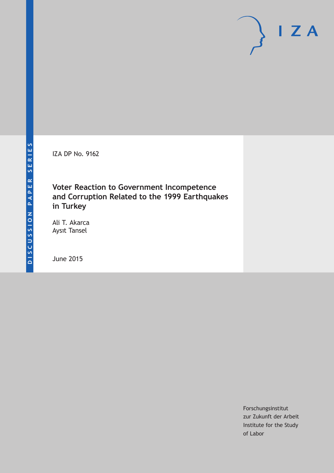IZA DP No. 9162

### **Voter Reaction to Government Incompetence and Corruption Related to the 1999 Earthquakes in Turkey**

Ali T. Akarca Aysıt Tansel

June 2015

Forschungsinstitut zur Zukunft der Arbeit Institute for the Study of Labor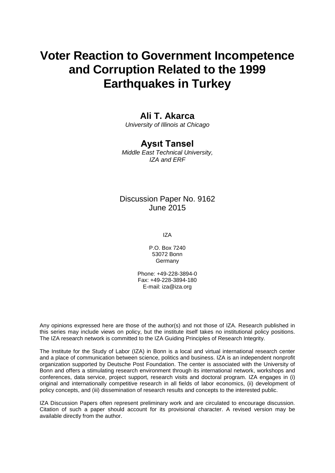# **Voter Reaction to Government Incompetence and Corruption Related to the 1999 Earthquakes in Turkey**

### **Ali T. Akarca**

*University of Illinois at Chicago*

### **Aysıt Tansel**

*Middle East Technical University, IZA and ERF*

### Discussion Paper No. 9162 June 2015

IZA

P.O. Box 7240 53072 Bonn **Germany** 

Phone: +49-228-3894-0 Fax: +49-228-3894-180 E-mail: iza@iza.org

Any opinions expressed here are those of the author(s) and not those of IZA. Research published in this series may include views on policy, but the institute itself takes no institutional policy positions. The IZA research network is committed to the IZA Guiding Principles of Research Integrity.

The Institute for the Study of Labor (IZA) in Bonn is a local and virtual international research center and a place of communication between science, politics and business. IZA is an independent nonprofit organization supported by Deutsche Post Foundation. The center is associated with the University of Bonn and offers a stimulating research environment through its international network, workshops and conferences, data service, project support, research visits and doctoral program. IZA engages in (i) original and internationally competitive research in all fields of labor economics, (ii) development of policy concepts, and (iii) dissemination of research results and concepts to the interested public.

<span id="page-1-0"></span>IZA Discussion Papers often represent preliminary work and are circulated to encourage discussion. Citation of such a paper should account for its provisional character. A revised version may be available directly from the author.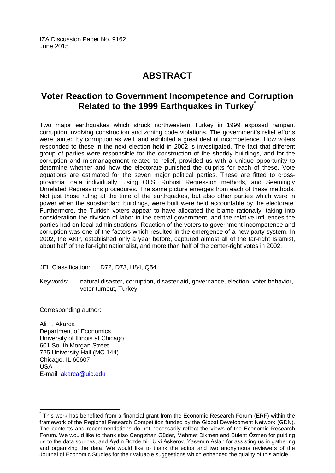IZA Discussion Paper No. 9162 June 2015

## **ABSTRACT**

### **Voter Reaction to Government Incompetence and Corruption Related to the 1999 Earthquakes in Turkey[\\*](#page-1-0)**

Two major earthquakes which struck northwestern Turkey in 1999 exposed rampant corruption involving construction and zoning code violations. The government's relief efforts were tainted by corruption as well, and exhibited a great deal of incompetence. How voters responded to these in the next election held in 2002 is investigated. The fact that different group of parties were responsible for the construction of the shoddy buildings, and for the corruption and mismanagement related to relief, provided us with a unique opportunity to determine whether and how the electorate punished the culprits for each of these. Vote equations are estimated for the seven major political parties. These are fitted to crossprovincial data individually, using OLS, Robust Regression methods, and Seemingly Unrelated Regressions procedures. The same picture emerges from each of these methods. Not just those ruling at the time of the earthquakes, but also other parties which were in power when the substandard buildings, were built were held accountable by the electorate. Furthermore, the Turkish voters appear to have allocated the blame rationally, taking into consideration the division of labor in the central government, and the relative influences the parties had on local administrations. Reaction of the voters to government incompetence and corruption was one of the factors which resulted in the emergence of a new party system. In 2002, the AKP, established only a year before, captured almost all of the far-right Islamist, about half of the far-right nationalist, and more than half of the center-right votes in 2002.

JEL Classification: D72, D73, H84, Q54

Keywords: natural disaster, corruption, disaster aid, governance, election, voter behavior, voter turnout, Turkey

Corresponding author:

Ali T. Akarca Department of Economics University of Illinois at Chicago 601 South Morgan Street 725 University Hall (MC 144) Chicago, IL 60607 USA E-mail: [akarca@uic.edu](mailto:akarca@uic.edu)

This work has benefited from a financial grant from the Economic Research Forum (ERF) within the framework of the Regional Research Competition funded by the Global Development Network (GDN). The contents and recommendations do not necessarily reflect the views of the Economic Research Forum. We would like to thank also Cengizhan Güder, Mehmet Dikmen and Bülent Özmen for guiding us to the data sources, and Aydın Bozdemir, Ulvi Askerov, Yasemin Aslan for assisting us in gathering and organizing the data. We would like to thank the editor and two anonymous reviewers of the Journal of Economic Studies for their valuable suggestions which enhanced the quality of this article.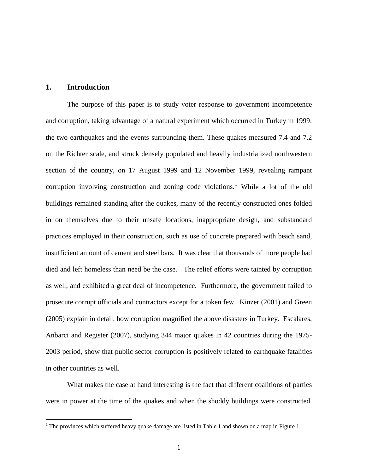#### **1. Introduction**

The purpose of this paper is to study voter response to government incompetence and corruption, taking advantage of a natural experiment which occurred in Turkey in 1999: the two earthquakes and the events surrounding them. These quakes measured 7.4 and 7.2 on the Richter scale, and struck densely populated and heavily industrialized northwestern section of the country, on 17 August 1999 and 12 November 1999, revealing rampant corruption involving construction and zoning code violations. [1](#page-33-0) While a lot of the old buildings remained standing after the quakes, many of the recently constructed ones folded in on themselves due to their unsafe locations, inappropriate design, and substandard practices employed in their construction, such as use of concrete prepared with beach sand, insufficient amount of cement and steel bars. It was clear that thousands of more people had died and left homeless than need be the case. The relief efforts were tainted by corruption as well, and exhibited a great deal of incompetence. Furthermore, the government failed to prosecute corrupt officials and contractors except for a token few. Kinzer (2001) and Green (2005) explain in detail, how corruption magnified the above disasters in Turkey. Escalares, Anbarci and Register (2007), studying 344 major quakes in 42 countries during the 1975- 2003 period, show that public sector corruption is positively related to earthquake fatalities in other countries as well.

<span id="page-3-0"></span>What makes the case at hand interesting is the fact that different coalitions of parties were in power at the time of the quakes and when the shoddy buildings were constructed.

 $1$  The provinces which suffered heavy quake damage are listed in Table 1 and shown on a map in Figure 1.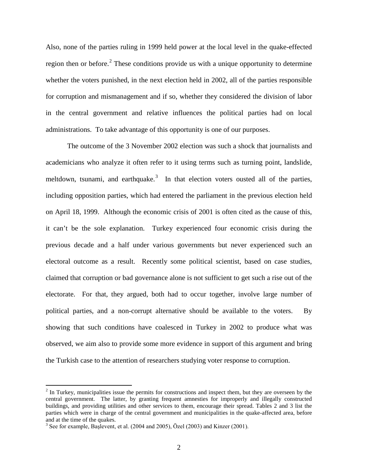Also, none of the parties ruling in 1999 held power at the local level in the quake-effected region then or before.<sup>[2](#page-3-0)</sup> These conditions provide us with a unique opportunity to determine whether the voters punished, in the next election held in 2002, all of the parties responsible for corruption and mismanagement and if so, whether they considered the division of labor in the central government and relative influences the political parties had on local administrations. To take advantage of this opportunity is one of our purposes.

The outcome of the 3 November 2002 election was such a shock that journalists and academicians who analyze it often refer to it using terms such as turning point, landslide, meltdown, tsunami, and earthquake.<sup>[3](#page-4-0)</sup> In that election voters ousted all of the parties, including opposition parties, which had entered the parliament in the previous election held on April 18, 1999. Although the economic crisis of 2001 is often cited as the cause of this, it can't be the sole explanation. Turkey experienced four economic crisis during the previous decade and a half under various governments but never experienced such an electoral outcome as a result. Recently some political scientist, based on case studies, claimed that corruption or bad governance alone is not sufficient to get such a rise out of the electorate. For that, they argued, both had to occur together, involve large number of political parties, and a non-corrupt alternative should be available to the voters. By showing that such conditions have coalesced in Turkey in 2002 to produce what was observed, we aim also to provide some more evidence in support of this argument and bring the Turkish case to the attention of researchers studying voter response to corruption.

<sup>&</sup>lt;sup>2</sup> In Turkey, municipalities issue the permits for constructions and inspect them, but they are overseen by the central government. The latter, by granting frequent amnesties for improperly and illegally constructed buildings, and providing utilities and other services to them, encourage their spread. Tables 2 and 3 list the parties which were in charge of the central government and municipalities in the quake-affected area, before and at the time of the quakes.<br><sup>3</sup> See for example, Başlevent, et al. (2004 and 2005), Özel (2003) and Kinzer (2001).

<span id="page-4-1"></span><span id="page-4-0"></span>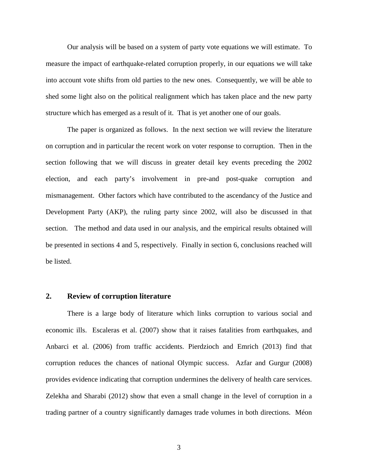Our analysis will be based on a system of party vote equations we will estimate. To measure the impact of earthquake-related corruption properly, in our equations we will take into account vote shifts from old parties to the new ones. Consequently, we will be able to shed some light also on the political realignment which has taken place and the new party structure which has emerged as a result of it. That is yet another one of our goals.

The paper is organized as follows. In the next section we will review the literature on corruption and in particular the recent work on voter response to corruption. Then in the section following that we will discuss in greater detail key events preceding the 2002 election, and each party's involvement in pre-and post-quake corruption and mismanagement. Other factors which have contributed to the ascendancy of the Justice and Development Party (AKP), the ruling party since 2002, will also be discussed in that section. The method and data used in our analysis, and the empirical results obtained will be presented in sections 4 and 5, respectively. Finally in section 6, conclusions reached will be listed.

#### **2. Review of corruption literature**

There is a large body of literature which links corruption to various social and economic ills. Escaleras et al. (2007) show that it raises fatalities from earthquakes, and Anbarci et al. (2006) from traffic accidents. Pierdzioch and Emrich (2013) find that corruption reduces the chances of national Olympic success. Azfar and Gurgur (2008) provides evidence indicating that corruption undermines the delivery of health care services. Zelekha and Sharabi (2012) show that even a small change in the level of corruption in a trading partner of a country significantly damages trade volumes in both directions. Méon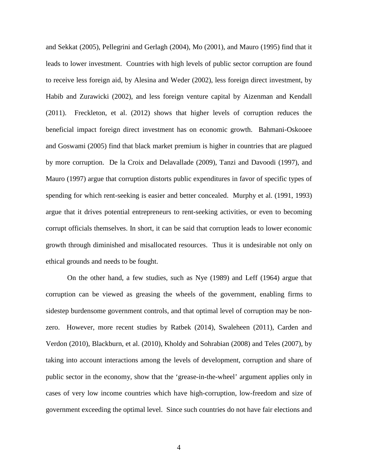and Sekkat (2005), Pellegrini and Gerlagh (2004), Mo (2001), and Mauro (1995) find that it leads to lower investment. Countries with high levels of public sector corruption are found to receive less foreign aid, by Alesina and Weder (2002), less foreign direct investment, by Habib and Zurawicki (2002), and less foreign venture capital by Aizenman and Kendall (2011). Freckleton, et al. (2012) shows that higher levels of corruption reduces the beneficial impact foreign direct investment has on economic growth. Bahmani-Oskooee and Goswami (2005) find that black market premium is higher in countries that are plagued by more corruption. De la Croix and Delavallade (2009), Tanzi and Davoodi (1997), and Mauro (1997) argue that corruption distorts public expenditures in favor of specific types of spending for which rent-seeking is easier and better concealed. Murphy et al. (1991, 1993) argue that it drives potential entrepreneurs to rent-seeking activities, or even to becoming corrupt officials themselves. In short, it can be said that corruption leads to lower economic growth through diminished and misallocated resources. Thus it is undesirable not only on ethical grounds and needs to be fought.

On the other hand, a few studies, such as Nye (1989) and Leff (1964) argue that corruption can be viewed as greasing the wheels of the government, enabling firms to sidestep burdensome government controls, and that optimal level of corruption may be nonzero. However, more recent studies by Ratbek (2014), Swaleheen (2011), Carden and Verdon (2010), Blackburn, et al. (2010), Kholdy and Sohrabian (2008) and Teles (2007), by taking into account interactions among the levels of development, corruption and share of public sector in the economy, show that the 'grease-in-the-wheel' argument applies only in cases of very low income countries which have high-corruption, low-freedom and size of government exceeding the optimal level. Since such countries do not have fair elections and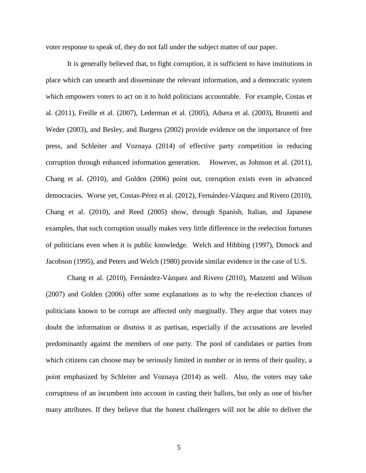voter response to speak of, they do not fall under the subject matter of our paper.

It is generally believed that, to fight corruption, it is sufficient to have institutions in place which can unearth and disseminate the relevant information, and a democratic system which empowers voters to act on it to hold politicians accountable. For example, Costas et al. (2011), Freille et al. (2007), Lederman et al. (2005), Adsera et al. (2003), Brunetti and Weder (2003), and Besley, and Burgess (2002) provide evidence on the importance of free press, and Schleiter and Voznaya (2014) of effective party competition in reducing corruption through enhanced information generation. However, as Johnson et al. (2011), Chang et al. (2010), and Golden (2006) point out, corruption exists even in advanced democracies. Worse yet, Costas-Pérez et al. (2012), Fernández-Vázquez and Rivero (2010), Chang et al. (2010), and Reed (2005) show, through Spanish, Italian, and Japanese examples, that such corruption usually makes very little difference in the reelection fortunes of politicians even when it is public knowledge. Welch and Hibbing (1997), Dimock and Jacobson (1995), and Peters and Welch (1980) provide similar evidence in the case of U.S.

Chang et al. (2010), Fernández-Vázquez and Rivero (2010), Manzetti and Wilson (2007) and Golden (2006) offer some explanations as to why the re-election chances of politicians known to be corrupt are affected only marginally. They argue that voters may doubt the information or dismiss it as partisan, especially if the accusations are leveled predominantly against the members of one party. The pool of candidates or parties from which citizens can choose may be seriously limited in number or in terms of their quality, a point emphasized by Schleiter and Voznaya (2014) as well. Also, the voters may take corruptness of an incumbent into account in casting their ballots, but only as one of his/her many attributes. If they believe that the honest challengers will not be able to deliver the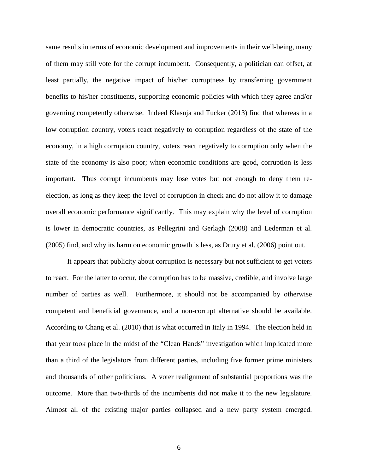same results in terms of economic development and improvements in their well-being, many of them may still vote for the corrupt incumbent. Consequently, a politician can offset, at least partially, the negative impact of his/her corruptness by transferring government benefits to his/her constituents, supporting economic policies with which they agree and/or governing competently otherwise. Indeed Klasnja and Tucker (2013) find that whereas in a low corruption country, voters react negatively to corruption regardless of the state of the economy, in a high corruption country, voters react negatively to corruption only when the state of the economy is also poor; when economic conditions are good, corruption is less important. Thus corrupt incumbents may lose votes but not enough to deny them reelection, as long as they keep the level of corruption in check and do not allow it to damage overall economic performance significantly. This may explain why the level of corruption is lower in democratic countries, as Pellegrini and Gerlagh (2008) and Lederman et al. (2005) find, and why its harm on economic growth is less, as Drury et al. (2006) point out.

It appears that publicity about corruption is necessary but not sufficient to get voters to react. For the latter to occur, the corruption has to be massive, credible, and involve large number of parties as well. Furthermore, it should not be accompanied by otherwise competent and beneficial governance, and a non-corrupt alternative should be available. According to Chang et al. (2010) that is what occurred in Italy in 1994. The election held in that year took place in the midst of the "Clean Hands" investigation which implicated more than a third of the legislators from different parties, including five former prime ministers and thousands of other politicians. A voter realignment of substantial proportions was the outcome. More than two-thirds of the incumbents did not make it to the new legislature. Almost all of the existing major parties collapsed and a new party system emerged.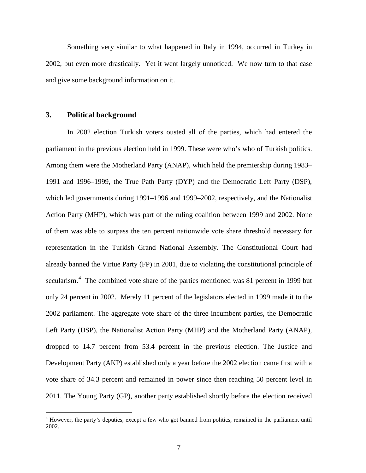Something very similar to what happened in Italy in 1994, occurred in Turkey in 2002, but even more drastically. Yet it went largely unnoticed. We now turn to that case and give some background information on it.

#### **3. Political background**

In 2002 election Turkish voters ousted all of the parties, which had entered the parliament in the previous election held in 1999. These were who's who of Turkish politics. Among them were the Motherland Party (ANAP), which held the premiership during 1983– 1991 and 1996–1999, the True Path Party (DYP) and the Democratic Left Party (DSP), which led governments during 1991–1996 and 1999–2002, respectively, and the Nationalist Action Party (MHP), which was part of the ruling coalition between 1999 and 2002. None of them was able to surpass the ten percent nationwide vote share threshold necessary for representation in the Turkish Grand National Assembly. The Constitutional Court had already banned the Virtue Party (FP) in 2001, due to violating the constitutional principle of secularism.<sup>[4](#page-4-1)</sup> The combined vote share of the parties mentioned was 81 percent in 1999 but only 24 percent in 2002. Merely 11 percent of the legislators elected in 1999 made it to the 2002 parliament. The aggregate vote share of the three incumbent parties, the Democratic Left Party (DSP), the Nationalist Action Party (MHP) and the Motherland Party (ANAP), dropped to 14.7 percent from 53.4 percent in the previous election. The Justice and Development Party (AKP) established only a year before the 2002 election came first with a vote share of 34.3 percent and remained in power since then reaching 50 percent level in 2011. The Young Party (GP), another party established shortly before the election received

<span id="page-9-0"></span><sup>&</sup>lt;sup>4</sup> However, the party's deputies, except a few who got banned from politics, remained in the parliament until 2002.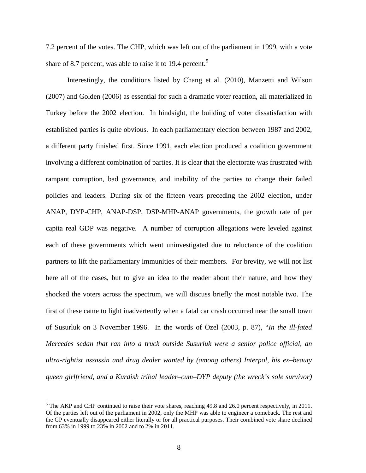7.2 percent of the votes. The CHP, which was left out of the parliament in 1999, with a vote share of 8.7 percent, was able to raise it to 19.4 percent.<sup>[5](#page-9-0)</sup>

Interestingly, the conditions listed by Chang et al. (2010), Manzetti and Wilson (2007) and Golden (2006) as essential for such a dramatic voter reaction, all materialized in Turkey before the 2002 election. In hindsight, the building of voter dissatisfaction with established parties is quite obvious. In each parliamentary election between 1987 and 2002, a different party finished first. Since 1991, each election produced a coalition government involving a different combination of parties. It is clear that the electorate was frustrated with rampant corruption, bad governance, and inability of the parties to change their failed policies and leaders. During six of the fifteen years preceding the 2002 election, under ANAP, DYP-CHP, ANAP-DSP, DSP-MHP-ANAP governments, the growth rate of per capita real GDP was negative. A number of corruption allegations were leveled against each of these governments which went uninvestigated due to reluctance of the coalition partners to lift the parliamentary immunities of their members. For brevity, we will not list here all of the cases, but to give an idea to the reader about their nature, and how they shocked the voters across the spectrum, we will discuss briefly the most notable two. The first of these came to light inadvertently when a fatal car crash occurred near the small town of Susurluk on 3 November 1996. In the words of Özel (2003, p. 87), "*In the ill-fated Mercedes sedan that ran into a truck outside Susurluk were a senior police official, an ultra-rightist assassin and drug dealer wanted by (among others) Interpol, his ex–beauty queen girlfriend, and a Kurdish tribal leader–cum–DYP deputy (the wreck's sole survivor)* 

<span id="page-10-0"></span> $<sup>5</sup>$  The AKP and CHP continued to raise their vote shares, reaching 49.8 and 26.0 percent respectively, in 2011.</sup> Of the parties left out of the parliament in 2002, only the MHP was able to engineer a comeback. The rest and the GP eventually disappeared either literally or for all practical purposes. Their combined vote share declined from 63% in 1999 to 23% in 2002 and to 2% in 2011.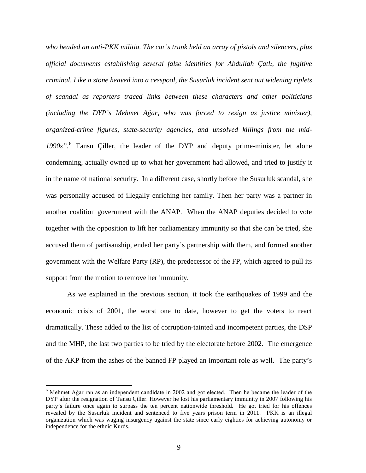*who headed an anti-PKK militia. The car's trunk held an array of pistols and silencers, plus official documents establishing several false identities for Abdullah Çatlı, the fugitive criminal. Like a stone heaved into a cesspool, the Susurluk incident sent out widening riplets of scandal as reporters traced links between these characters and other politicians (including the DYP's Mehmet Ağar, who was forced to resign as justice minister), organized-crime figures, state-security agencies, and unsolved killings from the mid-1990s".* [6](#page-10-0) Tansu Çiller, the leader of the DYP and deputy prime-minister, let alone condemning, actually owned up to what her government had allowed, and tried to justify it in the name of national security. In a different case, shortly before the Susurluk scandal, she was personally accused of illegally enriching her family. Then her party was a partner in another coalition government with the ANAP. When the ANAP deputies decided to vote together with the opposition to lift her parliamentary immunity so that she can be tried, she accused them of partisanship, ended her party's partnership with them, and formed another government with the Welfare Party (RP), the predecessor of the FP, which agreed to pull its support from the motion to remove her immunity.

As we explained in the previous section, it took the earthquakes of 1999 and the economic crisis of 2001, the worst one to date, however to get the voters to react dramatically. These added to the list of corruption-tainted and incompetent parties, the DSP and the MHP, the last two parties to be tried by the electorate before 2002. The emergence of the AKP from the ashes of the banned FP played an important role as well. The party's

<span id="page-11-0"></span> <sup>6</sup> Mehmet Ağar ran as an independent candidate in 2002 and got elected. Then he became the leader of the DYP after the resignation of Tansu Çiller. However he lost his parliamentary immunity in 2007 following his party's failure once again to surpass the ten percent nationwide threshold. He got tried for his offences revealed by the Susurluk incident and sentenced to five years prison term in 2011. PKK is an illegal organization which was waging insurgency against the state since early eighties for achieving autonomy or independence for the ethnic Kurds.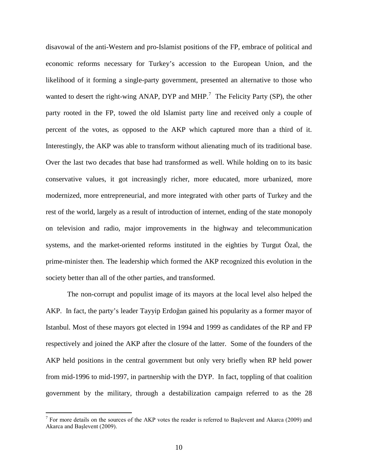disavowal of the anti-Western and pro-Islamist positions of the FP, embrace of political and economic reforms necessary for Turkey's accession to the European Union, and the likelihood of it forming a single-party government, presented an alternative to those who wanted to desert the right-wing ANAP, DYP and MHP.<sup>[7](#page-11-0)</sup> The Felicity Party (SP), the other party rooted in the FP, towed the old Islamist party line and received only a couple of percent of the votes, as opposed to the AKP which captured more than a third of it. Interestingly, the AKP was able to transform without alienating much of its traditional base. Over the last two decades that base had transformed as well. While holding on to its basic conservative values, it got increasingly richer, more educated, more urbanized, more modernized, more entrepreneurial, and more integrated with other parts of Turkey and the rest of the world, largely as a result of introduction of internet, ending of the state monopoly on television and radio, major improvements in the highway and telecommunication systems, and the market-oriented reforms instituted in the eighties by Turgut Özal, the prime-minister then. The leadership which formed the AKP recognized this evolution in the society better than all of the other parties, and transformed.

The non-corrupt and populist image of its mayors at the local level also helped the AKP. In fact, the party's leader Tayyip Erdoğan gained his popularity as a former mayor of Istanbul. Most of these mayors got elected in 1994 and 1999 as candidates of the RP and FP respectively and joined the AKP after the closure of the latter. Some of the founders of the AKP held positions in the central government but only very briefly when RP held power from mid-1996 to mid-1997, in partnership with the DYP. In fact, toppling of that coalition government by the military, through a destabilization campaign referred to as the 28

<span id="page-12-0"></span><sup>&</sup>lt;sup>7</sup> For more details on the sources of the AKP votes the reader is referred to Baslevent and Akarca (2009) and Akarca and Başlevent (2009).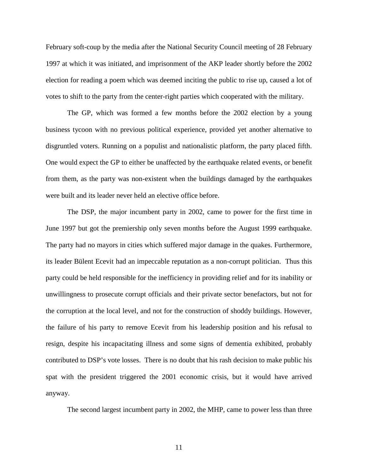February soft-coup by the media after the National Security Council meeting of 28 February 1997 at which it was initiated, and imprisonment of the AKP leader shortly before the 2002 election for reading a poem which was deemed inciting the public to rise up, caused a lot of votes to shift to the party from the center-right parties which cooperated with the military.

The GP, which was formed a few months before the 2002 election by a young business tycoon with no previous political experience, provided yet another alternative to disgruntled voters. Running on a populist and nationalistic platform, the party placed fifth. One would expect the GP to either be unaffected by the earthquake related events, or benefit from them, as the party was non-existent when the buildings damaged by the earthquakes were built and its leader never held an elective office before.

The DSP, the major incumbent party in 2002, came to power for the first time in June 1997 but got the premiership only seven months before the August 1999 earthquake. The party had no mayors in cities which suffered major damage in the quakes. Furthermore, its leader Bülent Ecevit had an impeccable reputation as a non-corrupt politician. Thus this party could be held responsible for the inefficiency in providing relief and for its inability or unwillingness to prosecute corrupt officials and their private sector benefactors, but not for the corruption at the local level, and not for the construction of shoddy buildings. However, the failure of his party to remove Ecevit from his leadership position and his refusal to resign, despite his incapacitating illness and some signs of dementia exhibited, probably contributed to DSP's vote losses. There is no doubt that his rash decision to make public his spat with the president triggered the 2001 economic crisis, but it would have arrived anyway.

The second largest incumbent party in 2002, the MHP, came to power less than three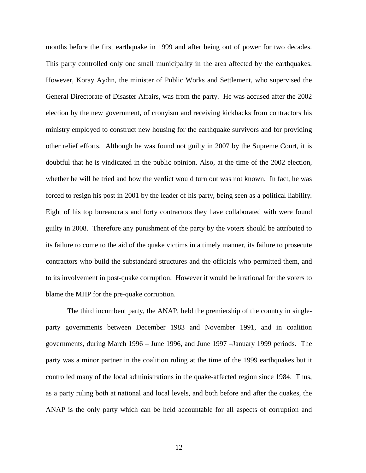months before the first earthquake in 1999 and after being out of power for two decades. This party controlled only one small municipality in the area affected by the earthquakes. However, Koray Aydın, the minister of Public Works and Settlement, who supervised the General Directorate of Disaster Affairs, was from the party. He was accused after the 2002 election by the new government, of cronyism and receiving kickbacks from contractors his ministry employed to construct new housing for the earthquake survivors and for providing other relief efforts. Although he was found not guilty in 2007 by the Supreme Court, it is doubtful that he is vindicated in the public opinion. Also, at the time of the 2002 election, whether he will be tried and how the verdict would turn out was not known. In fact, he was forced to resign his post in 2001 by the leader of his party, being seen as a political liability. Eight of his top bureaucrats and forty contractors they have collaborated with were found guilty in 2008. Therefore any punishment of the party by the voters should be attributed to its failure to come to the aid of the quake victims in a timely manner, its failure to prosecute contractors who build the substandard structures and the officials who permitted them, and to its involvement in post-quake corruption. However it would be irrational for the voters to blame the MHP for the pre-quake corruption.

The third incumbent party, the ANAP, held the premiership of the country in singleparty governments between December 1983 and November 1991, and in coalition governments, during March 1996 – June 1996, and June 1997 –January 1999 periods. The party was a minor partner in the coalition ruling at the time of the 1999 earthquakes but it controlled many of the local administrations in the quake-affected region since 1984. Thus, as a party ruling both at national and local levels, and both before and after the quakes, the ANAP is the only party which can be held accountable for all aspects of corruption and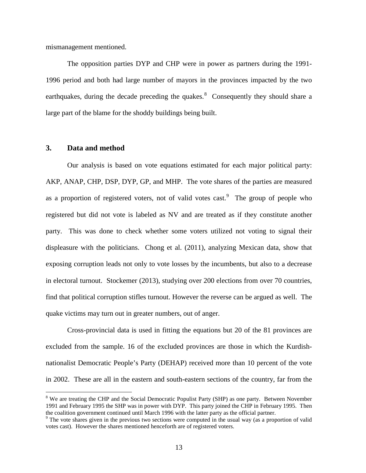mismanagement mentioned.

The opposition parties DYP and CHP were in power as partners during the 1991- 1996 period and both had large number of mayors in the provinces impacted by the two earthquakes, during the decade preceding the quakes. $8$  Consequently they should share a large part of the blame for the shoddy buildings being built.

#### **3. Data and method**

Our analysis is based on vote equations estimated for each major political party: AKP, ANAP, CHP, DSP, DYP, GP, and MHP. The vote shares of the parties are measured as a proportion of registered voters, not of valid votes cast.<sup>[9](#page-15-0)</sup> The group of people who registered but did not vote is labeled as NV and are treated as if they constitute another party. This was done to check whether some voters utilized not voting to signal their displeasure with the politicians. Chong et al. (2011), analyzing Mexican data, show that exposing corruption leads not only to vote losses by the incumbents, but also to a decrease in electoral turnout. Stockemer (2013), studying over 200 elections from over 70 countries, find that political corruption stifles turnout. However the reverse can be argued as well. The quake victims may turn out in greater numbers, out of anger.

Cross-provincial data is used in fitting the equations but 20 of the 81 provinces are excluded from the sample. 16 of the excluded provinces are those in which the Kurdishnationalist Democratic People's Party (DEHAP) received more than 10 percent of the vote in 2002. These are all in the eastern and south-eastern sections of the country, far from the

<span id="page-15-1"></span><sup>&</sup>lt;sup>8</sup> We are treating the CHP and the Social Democratic Populist Party (SHP) as one party. Between November 1991 and February 1995 the SHP was in power with DYP. This party joined the CHP in February 1995. Then the coalition government continued until March 1996 with the latter party as the official partner.

<span id="page-15-0"></span><sup>&</sup>lt;sup>9</sup> The vote shares given in the previous two sections were computed in the usual way (as a proportion of valid votes cast). However the shares mentioned henceforth are of registered voters.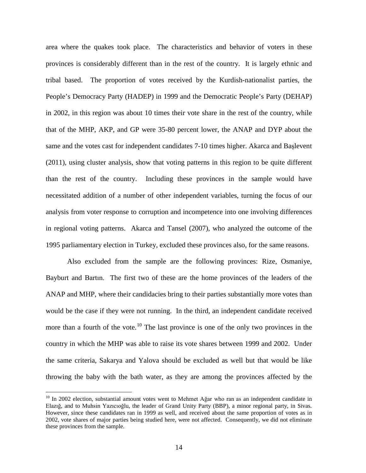area where the quakes took place. The characteristics and behavior of voters in these provinces is considerably different than in the rest of the country. It is largely ethnic and tribal based. The proportion of votes received by the Kurdish-nationalist parties, the People's Democracy Party (HADEP) in 1999 and the Democratic People's Party (DEHAP) in 2002, in this region was about 10 times their vote share in the rest of the country, while that of the MHP, AKP, and GP were 35-80 percent lower, the ANAP and DYP about the same and the votes cast for independent candidates 7-10 times higher. Akarca and Başlevent (2011), using cluster analysis, show that voting patterns in this region to be quite different than the rest of the country. Including these provinces in the sample would have necessitated addition of a number of other independent variables, turning the focus of our analysis from voter response to corruption and incompetence into one involving differences in regional voting patterns. Akarca and Tansel (2007), who analyzed the outcome of the 1995 parliamentary election in Turkey, excluded these provinces also, for the same reasons.

Also excluded from the sample are the following provinces: Rize, Osmaniye, Bayburt and Bartın. The first two of these are the home provinces of the leaders of the ANAP and MHP, where their candidacies bring to their parties substantially more votes than would be the case if they were not running. In the third, an independent candidate received more than a fourth of the vote.<sup>[10](#page-15-1)</sup> The last province is one of the only two provinces in the country in which the MHP was able to raise its vote shares between 1999 and 2002. Under the same criteria, Sakarya and Yalova should be excluded as well but that would be like throwing the baby with the bath water, as they are among the provinces affected by the

<span id="page-16-0"></span><sup>&</sup>lt;sup>10</sup> In 2002 election, substantial amount votes went to Mehmet Ağar who ran as an independent candidate in Elazığ, and to Muhsin Yazıcıoğlu, the leader of Grand Unity Party (BBP), a minor regional party, in Sivas. However, since these candidates ran in 1999 as well, and received about the same proportion of votes as in 2002, vote shares of major parties being studied here, were not affected. Consequently, we did not eliminate these provinces from the sample.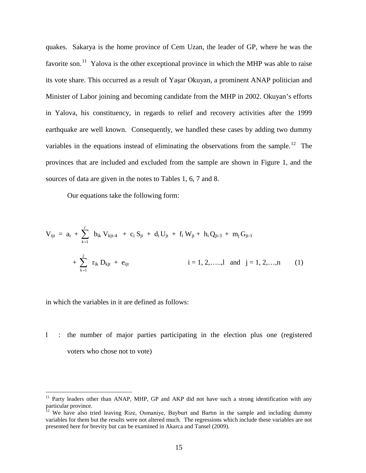quakes. Sakarya is the home province of Cem Uzan, the leader of GP, where he was the favorite son.<sup>[11](#page-16-0)</sup> Yalova is the other exceptional province in which the MHP was able to raise its vote share. This occurred as a result of Yaşar Okuyan, a prominent ANAP politician and Minister of Labor joining and becoming candidate from the MHP in 2002. Okuyan's efforts in Yalova, his constituency, in regards to relief and recovery activities after the 1999 earthquake are well known. Consequently, we handled these cases by adding two dummy variables in the equations instead of eliminating the observations from the sample.<sup>[12](#page-17-0)</sup> The provinces that are included and excluded from the sample are shown in Figure 1, and the sources of data are given in the notes to Tables 1, 6, 7 and 8.

Our equations take the following form:

$$
V_{ijt} = a_i + \sum_{k=1}^{l} b_{ik} V_{kjt+4} + c_i S_{jt} + d_i U_{jt} + f_i W_{jt} + h_i Q_{jt-3} + m_j G_{jt-1} + \sum_{k=1}^{2} r_{ik} D_{kjt} + e_{ijt}
$$
\n
$$
i = 1, 2, \dots, l \text{ and } j = 1, 2, \dots, n \qquad (1)
$$

in which the variables in it are defined as follows:

l : the number of major parties participating in the election plus one (registered voters who chose not to vote)

<sup>&</sup>lt;sup>11</sup> Party leaders other than ANAP, MHP, GP and AKP did not have such a strong identification with any particular province.<br><sup>12</sup> We have also tried leaving Rize, Osmaniye, Bayburt and Bartın in the sample and including dummy

<span id="page-17-1"></span><span id="page-17-0"></span>variables for them but the results were not altered much. The regressions which include these variables are not presented here for brevity but can be examined in Akarca and Tansel (2009).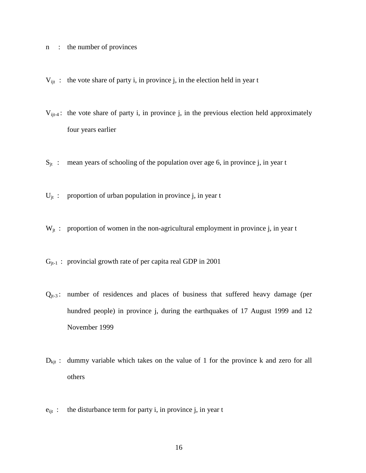- n : the number of provinces
- $V_{ijt}$ : the vote share of party i, in province j, in the election held in year t
- $V_{ijt-4}$ : the vote share of party i, in province j, in the previous election held approximately four years earlier
- $S_{it}$  : mean years of schooling of the population over age 6, in province j, in year t
- $U_{it}$ : proportion of urban population in province j, in year t
- $W_{it}$ : proportion of women in the non-agricultural employment in province j, in year t
- $G_{jt-1}$ : provincial growth rate of per capita real GDP in 2001
- $Q_{it-3}$ : number of residences and places of business that suffered heavy damage (per hundred people) in province j, during the earthquakes of 17 August 1999 and 12 November 1999
- $D_{\text{kit}}$ : dummy variable which takes on the value of 1 for the province k and zero for all others
- $e_{ijt}$  : the disturbance term for party i, in province j, in year t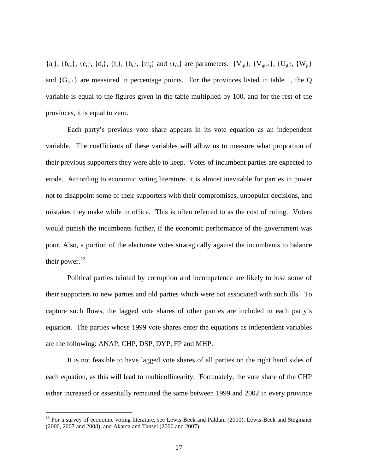${a_i}$ ,  ${b_{ik}}$ ,  ${c_i}$ ,  ${d_i}$ ,  ${f_i}$ ,  ${h_i}$ ,  ${m_i}$  and  ${r_{ik}}$  are parameters.  ${V_{iit}}$ ,  ${V_{iit-4}}$ ,  ${U_{it}}$ ,  ${W_{it}}$ and  $\{G_{it-1}\}\$  are measured in percentage points. For the provinces listed in table 1, the Q variable is equal to the figures given in the table multiplied by 100, and for the rest of the provinces, it is equal to zero.

Each party's previous vote share appears in its vote equation as an independent variable. The coefficients of these variables will allow us to measure what proportion of their previous supporters they were able to keep. Votes of incumbent parties are expected to erode. According to economic voting literature, it is almost inevitable for parties in power not to disappoint some of their supporters with their compromises, unpopular decisions, and mistakes they make while in office. This is often referred to as the cost of ruling. Voters would punish the incumbents further, if the economic performance of the government was poor. Also, a portion of the electorate votes strategically against the incumbents to balance their power. $^{13}$  $^{13}$  $^{13}$ 

Political parties tainted by corruption and incompetence are likely to lose some of their supporters to new parties and old parties which were not associated with such ills. To capture such flows, the lagged vote shares of other parties are included in each party's equation. The parties whose 1999 vote shares enter the equations as independent variables are the following: ANAP, CHP, DSP, DYP, FP and MHP.

It is not feasible to have lagged vote shares of all parties on the right hand sides of each equation, as this will lead to multicollinearity. Fortunately, the vote share of the CHP either increased or essentially remained the same between 1999 and 2002 in every province

<span id="page-19-0"></span><sup>&</sup>lt;sup>13</sup> For a survey of economic voting literature, see Lewis-Beck and Paldam (2000), Lewis-Beck and Stegmaier (2000, 2007 and 2008), and Akarca and Tansel (2006 and 2007).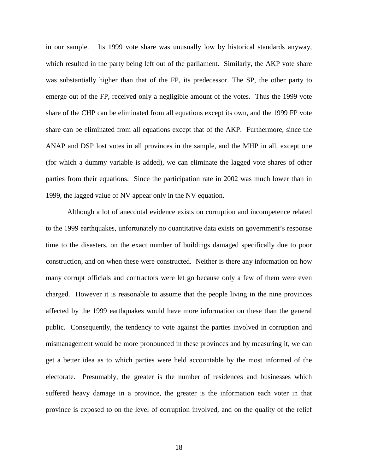in our sample. Its 1999 vote share was unusually low by historical standards anyway, which resulted in the party being left out of the parliament. Similarly, the AKP vote share was substantially higher than that of the FP, its predecessor. The SP, the other party to emerge out of the FP, received only a negligible amount of the votes. Thus the 1999 vote share of the CHP can be eliminated from all equations except its own, and the 1999 FP vote share can be eliminated from all equations except that of the AKP. Furthermore, since the ANAP and DSP lost votes in all provinces in the sample, and the MHP in all, except one (for which a dummy variable is added), we can eliminate the lagged vote shares of other parties from their equations. Since the participation rate in 2002 was much lower than in 1999, the lagged value of NV appear only in the NV equation.

Although a lot of anecdotal evidence exists on corruption and incompetence related to the 1999 earthquakes, unfortunately no quantitative data exists on government's response time to the disasters, on the exact number of buildings damaged specifically due to poor construction, and on when these were constructed. Neither is there any information on how many corrupt officials and contractors were let go because only a few of them were even charged. However it is reasonable to assume that the people living in the nine provinces affected by the 1999 earthquakes would have more information on these than the general public. Consequently, the tendency to vote against the parties involved in corruption and mismanagement would be more pronounced in these provinces and by measuring it, we can get a better idea as to which parties were held accountable by the most informed of the electorate. Presumably, the greater is the number of residences and businesses which suffered heavy damage in a province, the greater is the information each voter in that province is exposed to on the level of corruption involved, and on the quality of the relief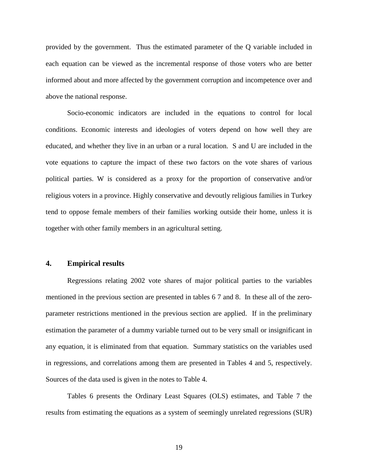provided by the government. Thus the estimated parameter of the Q variable included in each equation can be viewed as the incremental response of those voters who are better informed about and more affected by the government corruption and incompetence over and above the national response.

Socio-economic indicators are included in the equations to control for local conditions. Economic interests and ideologies of voters depend on how well they are educated, and whether they live in an urban or a rural location. S and U are included in the vote equations to capture the impact of these two factors on the vote shares of various political parties. W is considered as a proxy for the proportion of conservative and/or religious voters in a province. Highly conservative and devoutly religious families in Turkey tend to oppose female members of their families working outside their home, unless it is together with other family members in an agricultural setting.

#### **4. Empirical results**

Regressions relating 2002 vote shares of major political parties to the variables mentioned in the previous section are presented in tables 6 7 and 8. In these all of the zeroparameter restrictions mentioned in the previous section are applied. If in the preliminary estimation the parameter of a dummy variable turned out to be very small or insignificant in any equation, it is eliminated from that equation. Summary statistics on the variables used in regressions, and correlations among them are presented in Tables 4 and 5, respectively. Sources of the data used is given in the notes to Table 4.

Tables 6 presents the Ordinary Least Squares (OLS) estimates, and Table 7 the results from estimating the equations as a system of seemingly unrelated regressions (SUR)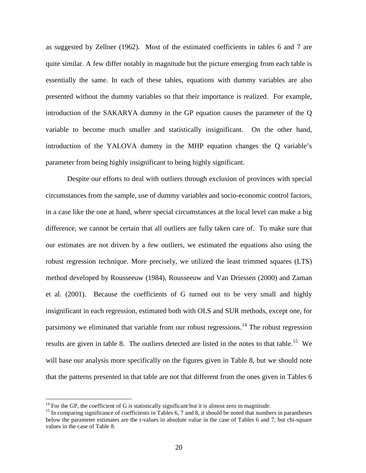as suggested by Zellner (1962). Most of the estimated coefficients in tables 6 and 7 are quite similar. A few differ notably in magnitude but the picture emerging from each table is essentially the same. In each of these tables, equations with dummy variables are also presented without the dummy variables so that their importance is realized. For example, introduction of the SAKARYA dummy in the GP equation causes the parameter of the Q variable to become much smaller and statistically insignificant. On the other hand, introduction of the YALOVA dummy in the MHP equation changes the Q variable's parameter from being highly insignificant to being highly significant.

Despite our efforts to deal with outliers through exclusion of provinces with special circumstances from the sample, use of dummy variables and socio-economic control factors, in a case like the one at hand, where special circumstances at the local level can make a big difference, we cannot be certain that all outliers are fully taken care of. To make sure that our estimates are not driven by a few outliers, we estimated the equations also using the robust regression technique. More precisely, we utilized the least trimmed squares (LTS) method developed by Rousseeuw (1984), Rousseeuw and Van Driessen (2000) and Zaman et al. (2001). Because the coefficients of G turned out to be very small and highly insignificant in each regression, estimated both with OLS and SUR methods, except one, for parsimony we eliminated that variable from our robust regressions.<sup>[14](#page-19-0)</sup> The robust regression results are given in table 8. The outliers detected are listed in the notes to that table.<sup>[15](#page-22-0)</sup> We will base our analysis more specifically on the figures given in Table 8, but we should note that the patterns presented in that table are not that different from the ones given in Tables 6

<span id="page-22-1"></span><span id="page-22-0"></span><sup>&</sup>lt;sup>14</sup> For the GP, the coefficient of G is statistically significant but it is almost zero in magnitude.<br><sup>15</sup> In comparing significance of coefficients in Tables 6, 7 and 8, it should be noted that numbers in parantheses below the parameter estimates are the t-values in absolute value in the case of Tables 6 and 7, but chi-square values in the case of Table 8.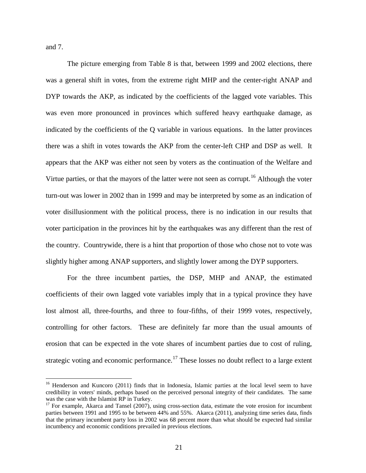and 7.

The picture emerging from Table 8 is that, between 1999 and 2002 elections, there was a general shift in votes, from the extreme right MHP and the center-right ANAP and DYP towards the AKP, as indicated by the coefficients of the lagged vote variables. This was even more pronounced in provinces which suffered heavy earthquake damage, as indicated by the coefficients of the Q variable in various equations. In the latter provinces there was a shift in votes towards the AKP from the center-left CHP and DSP as well. It appears that the AKP was either not seen by voters as the continuation of the Welfare and Virtue parties, or that the mayors of the latter were not seen as corrupt.<sup>[16](#page-22-1)</sup> Although the voter turn-out was lower in 2002 than in 1999 and may be interpreted by some as an indication of voter disillusionment with the political process, there is no indication in our results that voter participation in the provinces hit by the earthquakes was any different than the rest of the country. Countrywide, there is a hint that proportion of those who chose not to vote was slightly higher among ANAP supporters, and slightly lower among the DYP supporters.

For the three incumbent parties, the DSP, MHP and ANAP, the estimated coefficients of their own lagged vote variables imply that in a typical province they have lost almost all, three-fourths, and three to four-fifths, of their 1999 votes, respectively, controlling for other factors. These are definitely far more than the usual amounts of erosion that can be expected in the vote shares of incumbent parties due to cost of ruling, strategic voting and economic performance.<sup>[17](#page-23-0)</sup> These losses no doubt reflect to a large extent

<sup>&</sup>lt;sup>16</sup> Henderson and Kuncoro (2011) finds that in Indonesia, Islamic parties at the local level seem to have credibility in voters' minds, perhaps based on the perceived personal integrity of their candidates. The same was the case with the Islamist RP in Turkey.

<span id="page-23-0"></span> $17$  For example, Akarca and Tansel (2007), using cross-section data, estimate the vote erosion for incumbent parties between 1991 and 1995 to be between 44% and 55%. Akarca (2011), analyzing time series data, finds that the primary incumbent party loss in 2002 was 68 percent more than what should be expected had similar incumbency and economic conditions prevailed in previous elections.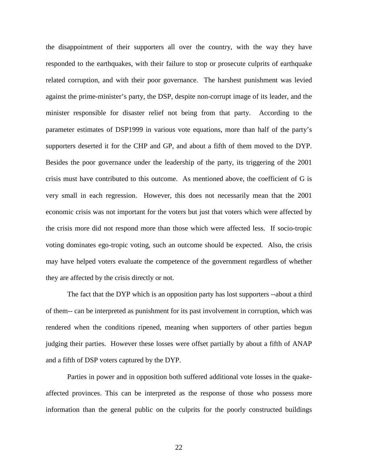the disappointment of their supporters all over the country, with the way they have responded to the earthquakes, with their failure to stop or prosecute culprits of earthquake related corruption, and with their poor governance. The harshest punishment was levied against the prime-minister's party, the DSP, despite non-corrupt image of its leader, and the minister responsible for disaster relief not being from that party. According to the parameter estimates of DSP1999 in various vote equations, more than half of the party's supporters deserted it for the CHP and GP, and about a fifth of them moved to the DYP. Besides the poor governance under the leadership of the party, its triggering of the 2001 crisis must have contributed to this outcome. As mentioned above, the coefficient of G is very small in each regression. However, this does not necessarily mean that the 2001 economic crisis was not important for the voters but just that voters which were affected by the crisis more did not respond more than those which were affected less. If socio-tropic voting dominates ego-tropic voting, such an outcome should be expected. Also, the crisis may have helped voters evaluate the competence of the government regardless of whether they are affected by the crisis directly or not.

The fact that the DYP which is an opposition party has lost supporters --about a third of them-- can be interpreted as punishment for its past involvement in corruption, which was rendered when the conditions ripened, meaning when supporters of other parties begun judging their parties. However these losses were offset partially by about a fifth of ANAP and a fifth of DSP voters captured by the DYP.

Parties in power and in opposition both suffered additional vote losses in the quakeaffected provinces. This can be interpreted as the response of those who possess more information than the general public on the culprits for the poorly constructed buildings

22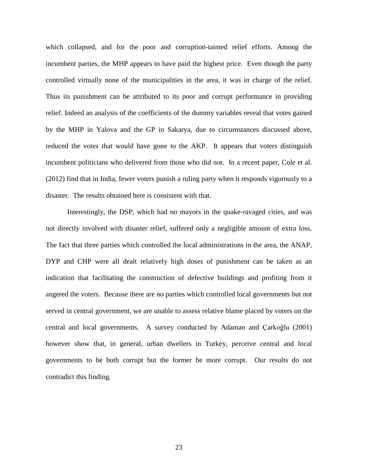which collapsed, and for the poor and corruption-tainted relief efforts. Among the incumbent parties, the MHP appears to have paid the highest price. Even though the party controlled virtually none of the municipalities in the area, it was in charge of the relief. Thus its punishment can be attributed to its poor and corrupt performance in providing relief. Indeed an analysis of the coefficients of the dummy variables reveal that votes gained by the MHP in Yalova and the GP in Sakarya, due to circumstances discussed above, reduced the votes that would have gone to the AKP. It appears that voters distinguish incumbent politicians who delivered from those who did not. In a recent paper, Cole et al. (2012) find that in India, fewer voters punish a ruling party when it responds vigorously to a disaster. The results obtained here is consistent with that.

Interestingly, the DSP, which had no mayors in the quake-ravaged cities, and was not directly involved with disaster relief, suffered only a negligible amount of extra loss. The fact that three parties which controlled the local administrations in the area, the ANAP, DYP and CHP were all dealt relatively high doses of punishment can be taken as an indication that facilitating the construction of defective buildings and profiting from it angered the voters. Because there are no parties which controlled local governments but not served in central government, we are unable to assess relative blame placed by voters on the central and local governments. A survey conducted by Adaman and Çarkoğlu (2001) however show that, in general, urban dwellers in Turkey, perceive central and local governments to be both corrupt but the former be more corrupt. Our results do not contradict this finding.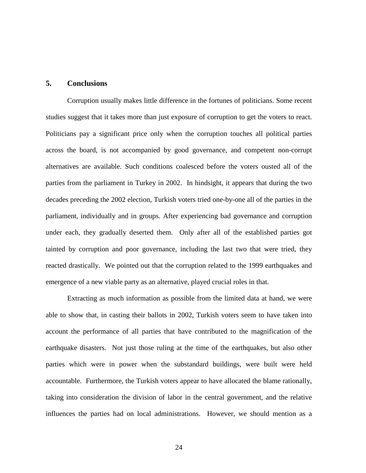#### **5. Conclusions**

Corruption usually makes little difference in the fortunes of politicians. Some recent studies suggest that it takes more than just exposure of corruption to get the voters to react. Politicians pay a significant price only when the corruption touches all political parties across the board, is not accompanied by good governance, and competent non-corrupt alternatives are available. Such conditions coalesced before the voters ousted all of the parties from the parliament in Turkey in 2002. In hindsight, it appears that during the two decades preceding the 2002 election, Turkish voters tried one-by-one all of the parties in the parliament, individually and in groups. After experiencing bad governance and corruption under each, they gradually deserted them. Only after all of the established parties got tainted by corruption and poor governance, including the last two that were tried, they reacted drastically. We pointed out that the corruption related to the 1999 earthquakes and emergence of a new viable party as an alternative, played crucial roles in that.

Extracting as much information as possible from the limited data at hand, we were able to show that, in casting their ballots in 2002, Turkish voters seem to have taken into account the performance of all parties that have contributed to the magnification of the earthquake disasters. Not just those ruling at the time of the earthquakes, but also other parties which were in power when the substandard buildings, were built were held accountable. Furthermore, the Turkish voters appear to have allocated the blame rationally, taking into consideration the division of labor in the central government, and the relative influences the parties had on local administrations. However, we should mention as a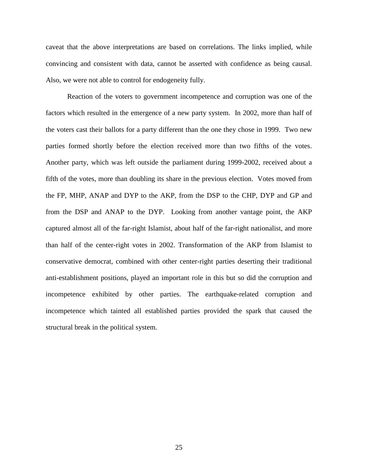caveat that the above interpretations are based on correlations. The links implied, while convincing and consistent with data, cannot be asserted with confidence as being causal. Also, we were not able to control for endogeneity fully.

Reaction of the voters to government incompetence and corruption was one of the factors which resulted in the emergence of a new party system. In 2002, more than half of the voters cast their ballots for a party different than the one they chose in 1999. Two new parties formed shortly before the election received more than two fifths of the votes. Another party, which was left outside the parliament during 1999-2002, received about a fifth of the votes, more than doubling its share in the previous election. Votes moved from the FP, MHP, ANAP and DYP to the AKP, from the DSP to the CHP, DYP and GP and from the DSP and ANAP to the DYP. Looking from another vantage point, the AKP captured almost all of the far-right Islamist, about half of the far-right nationalist, and more than half of the center-right votes in 2002. Transformation of the AKP from Islamist to conservative democrat, combined with other center-right parties deserting their traditional anti-establishment positions, played an important role in this but so did the corruption and incompetence exhibited by other parties. The earthquake-related corruption and incompetence which tainted all established parties provided the spark that caused the structural break in the political system.

25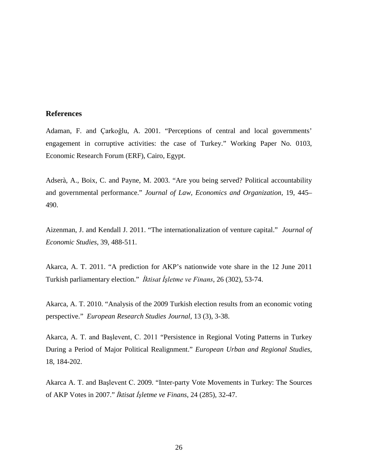#### **References**

Adaman, F. and Çarkoğlu, A. 2001. "Perceptions of central and local governments' engagement in corruptive activities: the case of Turkey." Working Paper No. 0103, Economic Research Forum (ERF), Cairo, Egypt.

Adserà, A., Boix, C. and Payne, M. 2003. "Are you being served? Political accountability and governmental performance." *Journal of Law, Economics and Organization,* 19, 445– 490.

Aizenman, J. and Kendall J. 2011. "The internationalization of venture capital." *Journal of Economic Studies*, 39, 488-511.

Akarca, A. T. 2011. "A prediction for AKP's nationwide vote share in the 12 June 2011 Turkish parliamentary election." *İktisat İşletme ve Finans*, 26 (302), 53-74.

Akarca, A. T. 2010. "Analysis of the 2009 Turkish election results from an economic voting perspective." *European Research Studies Journal*, 13 (3), 3-38.

Akarca, A. T. and Başlevent, C. 2011 "Persistence in Regional Voting Patterns in Turkey During a Period of Major Political Realignment." *European Urban and Regional Studies*, 18, 184-202.

Akarca A. T. and Başlevent C. 2009. "Inter-party Vote Movements in Turkey: The Sources of AKP Votes in 2007." *İktisat İşletme ve Finans*, 24 (285), 32-47.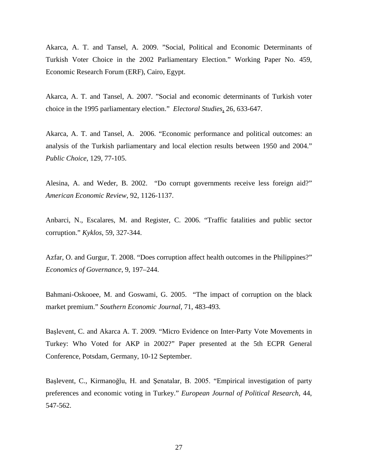Akarca, A. T. and Tansel, A. 2009. "Social, Political and Economic Determinants of Turkish Voter Choice in the 2002 Parliamentary Election." Working Paper No. 459, Economic Research Forum (ERF), Cairo, Egypt.

Akarca, A. T. and Tansel, A. 2007. "Social and economic determinants of Turkish voter choice in the 1995 parliamentary election." *Electoral Studies,* 26, 633-647.

Akarca, A. T. and Tansel, A. 2006. "Economic performance and political outcomes: an analysis of the Turkish parliamentary and local election results between 1950 and 2004." *Public Choice*, 129, 77-105.

Alesina, A. and Weder, B. 2002. "Do corrupt governments receive less foreign aid?" *American Economic Review*, 92, 1126-1137.

Anbarci, N., Escalares, M. and Register, C. 2006. "Traffic fatalities and public sector corruption." *Kyklos*, 59, 327-344.

Azfar, O. and Gurgur, T. 2008. "Does corruption affect health outcomes in the Philippines?" *Economics of Governance*, 9, 197–244.

Bahmani-Oskooee, M. and Goswami, G. 2005. "The impact of corruption on the black market premium." *Southern Economic Journal*, 71, 483-493.

Başlevent, C. and Akarca A. T. 2009. "Micro Evidence on Inter-Party Vote Movements in Turkey: Who Voted for AKP in 2002?" Paper presented at the 5th ECPR General Conference, Potsdam, Germany, 10-12 September.

Başlevent, C., Kirmanoğlu, H. and Şenatalar, B. 2005. "Empirical investigation of party preferences and economic voting in Turkey." *European Journal of Political Research*, 44, 547-562.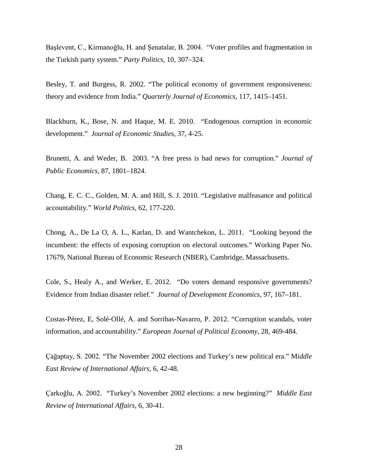Başlevent, C., Kirmanoğlu, H. and Şenatalar, B. 2004. "Voter profiles and fragmentation in the Turkish party system." *Party Politics*, 10, 307–324.

Besley, T. and Burgess, R. 2002. "The political economy of government responsiveness: theory and evidence from India." *Quarterly Journal of Economics,* 117, 1415–1451.

Blackburn, K., Bose, N. and Haque, M. E. 2010. "Endogenous corruption in economic development." *Journal of Economic Studies*, 37, 4-25.

Brunetti, A. and Weder, B. 2003. "A free press is bad news for corruption." *Journal of Public Economics,* 87, 1801–1824.

Chang, E. C. C., Golden, M. A. and Hill, S. J. 2010. "Legislative malfeasance and political accountability." *World Politics*, 62, 177-220.

Chong, A., De La O, A. L., Karlan, D. and Wantchekon, L. 2011. "Looking beyond the incumbent: the effects of exposing corruption on electoral outcomes." Working Paper No. 17679, National Bureau of Economic Research (NBER), Cambridge, Massachusetts.

Cole, S., Healy A., and Werker, E. 2012. "Do voters demand responsive governments? Evidence from Indian disaster relief." *Journal of Development Economics,* 97, 167–181.

Costas-Pérez, E, Solé-Ollé, A. and Sorribas-Navarro, P. 2012. "Corruption scandals, voter information, and accountability." *European Journal of Political Economy*, 28, 469-484.

Çağaptay, S. 2002. "The November 2002 elections and Turkey's new political era." M*iddle East Review of International Affairs*, 6, 42-48.

Çarkoğlu, A. 2002. "Turkey's November 2002 elections: a new beginning?" *Middle East Review of International Affairs*, 6, 30-41.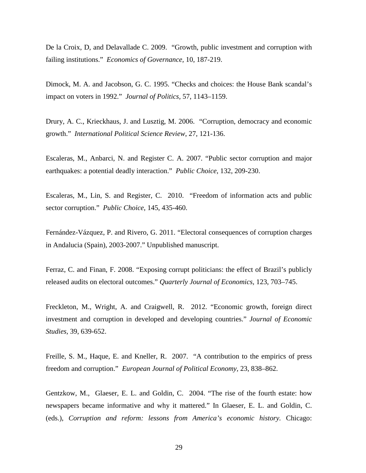De la Croix, D, and Delavallade C. 2009. "Growth, public investment and corruption with failing institutions." *Economics of Governance,* 10, 187-219.

Dimock, M. A. and Jacobson, G. C. 1995. "Checks and choices: the House Bank scandal's impact on voters in 1992." *Journal of Politics,* 57, 1143–1159.

Drury, A. C., Krieckhaus, J. and Lusztig, M. 2006. "Corruption, democracy and economic growth." *International Political Science Review*, 27, 121-136.

Escaleras, M., Anbarci, N. and Register C. A. 2007. "Public sector corruption and major earthquakes: a potential deadly interaction." *Public Choice*, 132, 209-230.

Escaleras, M., Lin, S. and Register, C. 2010. "Freedom of information acts and public sector corruption." *Public Choice*, 145, 435-460.

Fernández-Vázquez, P. and Rivero, G. 2011. "Electoral consequences of corruption charges in Andalucia (Spain), 2003-2007." Unpublished manuscript.

Ferraz, C. and Finan, F. 2008. "Exposing corrupt politicians: the effect of Brazil's publicly released audits on electoral outcomes." *Quarterly Journal of Economics,* 123, 703–745.

Freckleton, M., Wright, A. and Craigwell, R. 2012. "Economic growth, foreign direct investment and corruption in developed and developing countries." *Journal of Economic Studies,* 39, 639-652.

Freille, S. M., Haque, E. and Kneller, R. 2007. "A contribution to the empirics of press freedom and corruption." *European Journal of Political Economy,* 23, 838–862.

Gentzkow, M., Glaeser, E. L. and Goldin, C. 2004. "The rise of the fourth estate: how newspapers became informative and why it mattered." In Glaeser, E. L. and Goldin, C. (eds.), *Corruption and reform: lessons from America's economic history.* Chicago: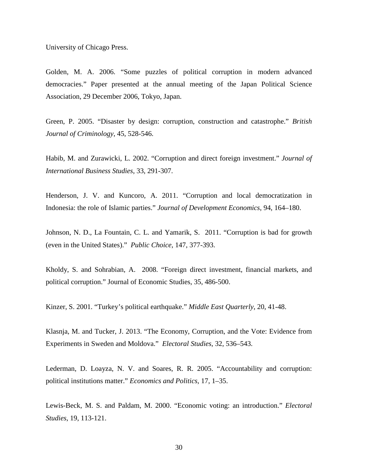University of Chicago Press.

Golden, M. A. 2006. "Some puzzles of political corruption in modern advanced democracies." Paper presented at the annual meeting of the Japan Political Science Association, 29 December 2006, Tokyo, Japan.

Green, P. 2005. "Disaster by design: corruption, construction and catastrophe." *British Journal of Criminology*, 45, 528-546.

Habib, M. and Zurawicki, L. 2002. "Corruption and direct foreign investment." *Journal of International Business Studies*, 33, 291-307.

Henderson, J. V. and Kuncoro, A. 2011. "Corruption and local democratization in Indonesia: the role of Islamic parties." *Journal of Development Economics*, 94, 164–180.

Johnson, N. D., La Fountain, C. L. and Yamarik, S. 2011. "Corruption is bad for growth (even in the United States)." *Public Choice*, 147, 377-393.

Kholdy, S. and Sohrabian, A. 2008. "Foreign direct investment, financial markets, and political corruption." Journal of Economic Studies, 35, 486-500.

Kinzer, S. 2001. "Turkey's political earthquake." *Middle East Quarterly*, 20, 41-48.

Klasnja, M. and Tucker, J. 2013. "The Economy, Corruption, and the Vote: Evidence from Experiments in Sweden and Moldova." *Electoral Studies*, 32, 536–543.

Lederman, D. Loayza, N. V. and Soares, R. R. 2005. "Accountability and corruption: political institutions matter." *Economics and Politics,* 17, 1–35.

Lewis-Beck, M. S. and Paldam, M. 2000. "Economic voting: an introduction." *Electoral Studies*, 19, 113-121.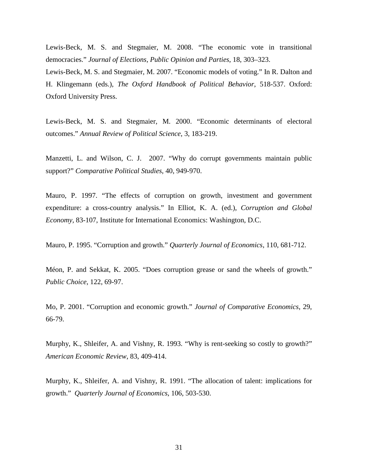Lewis-Beck, M. S. and Stegmaier, M. 2008. "The economic vote in transitional democracies." *Journal of Elections, Public Opinion and Parties*, 18, 303–323.

Lewis-Beck, M. S. and Stegmaier, M. 2007. "Economic models of voting." In R. Dalton and H. Klingemann (eds.), *The Oxford Handbook of Political Behavior*, 518-537. Oxford: Oxford University Press.

Lewis-Beck, M. S. and Stegmaier, M. 2000. "Economic determinants of electoral outcomes." *Annual Review of Political Science*, 3, 183-219.

Manzetti, L. and Wilson, C. J. 2007. "Why do corrupt governments maintain public support?" *Comparative Political Studies*, 40, 949-970.

Mauro, P. 1997. "The effects of corruption on growth, investment and government expenditure: a cross-country analysis." In Elliot, K. A. (ed.), *Corruption and Global Economy,* 83-107, Institute for International Economics: Washington, D.C.

Mauro, P. 1995. "Corruption and growth." *Quarterly Journal of Economics*, 110, 681-712.

Méon, P. and Sekkat, K. 2005. "Does corruption grease or sand the wheels of growth." *Public Choice*, 122, 69-97.

Mo, P. 2001. "Corruption and economic growth." *Journal of Comparative Economics*, 29, 66-79.

Murphy, K., Shleifer, A. and Vishny, R. 1993. "Why is rent-seeking so costly to growth?" *American Economic Review*, 83, 409-414.

<span id="page-33-0"></span>Murphy, K., Shleifer, A. and Vishny, R. 1991. "The allocation of talent: implications for growth." *Quarterly Journal of Economics*, 106, 503-530.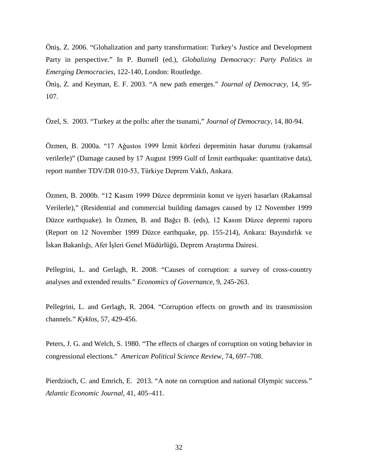Öniş, Z. 2006. "Globalization and party transformation: Turkey's Justice and Development Party in perspective." In P. Burnell (ed.), *Globalizing Democracy: Party Politics in Emerging Democracies,* 122-140, London: Routledge.

Öniş, Z. and Keyman, E. F. 2003. "A new path emerges." *Journal of Democracy*, 14, 95- 107.

Özel, S. 2003. "Turkey at the polls: after the tsunami," *Journal of Democracy*, 14, 80-94.

Özmen, B. 2000a. "17 Ağustos 1999 İzmit körfezi depreminin hasar durumu (rakamsal verilerle)" (Damage caused by 17 August 1999 Gulf of İzmit earthquake: quantitative data), report number TDV/DR 010-53, Türkiye Deprem Vakfı, Ankara.

Özmen, B. 2000b. "12 Kasım 1999 Düzce depreminin konut ve işyeri hasarları (Rakamsal Verilerle)," (Residential and commercial building damages caused by 12 November 1999 Düzce earthquake). In Özmen, B. and Bağcı B. (eds), 12 Kasım Düzce depremi raporu (Report on 12 November 1999 Düzce earthquake, pp. 155-214), Ankara: Bayındırlık ve İskan Bakanlığı, Afet İşleri Genel Müdürlüğü, Deprem Araştırma Dairesi.

Pellegrini, L. and Gerlagh, R. 2008. "Causes of corruption: a survey of cross-country analyses and extended results." *Economics of Governance*, 9, 245-263.

Pellegrini, L. and Gerlagh, R. 2004. "Corruption effects on growth and its transmission channels." *Kyklos*, 57, 429-456.

Peters, J. G. and Welch, S. 1980. "The effects of charges of corruption on voting behavior in congressional elections." *American Political Science Review,* 74, 697–708.

Pierdzioch, C. and Emrich, E. 2013. "A note on corruption and national Olympic success." *Atlantic Economic Journal*, 41, 405–411.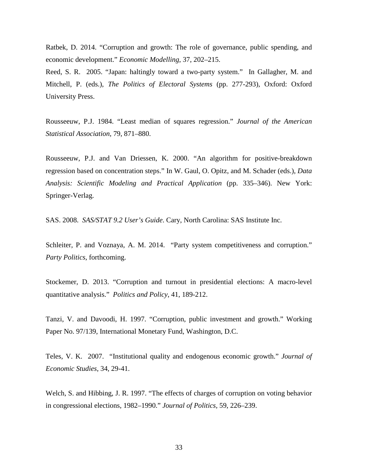Ratbek, D. 2014. "Corruption and growth: The role of governance, public spending, and economic development." *Economic Modelling*, 37, 202–215.

Reed, S. R. 2005. "Japan: haltingly toward a two-party system." In Gallagher, M. and Mitchell, P. (eds.), *The Politics of Electoral Systems* (pp. 277-293), Oxford: Oxford University Press.

Rousseeuw, P.J. 1984. "Least median of squares regression." *Journal of the American Statistical Association*, 79, 871–880.

Rousseeuw, P.J. and Van Driessen, K. 2000. "An algorithm for positive-breakdown regression based on concentration steps." In W. Gaul, O. Opitz, and M. Schader (eds.), *Data Analysis: Scientific Modeling and Practical Application* (pp. 335–346). New York: Springer-Verlag.

SAS. 2008. *SAS/STAT 9.2 User's Guide*. Cary, North Carolina: SAS Institute Inc.

Schleiter, P. and Voznaya, A. M. 2014. "Party system competitiveness and corruption." *Party Politics*, forthcoming.

Stockemer, D. 2013. "Corruption and turnout in presidential elections: A macro-level quantitative analysis." *Politics and Policy*, 41, 189-212.

Tanzi, V. and Davoodi, H. 1997. "Corruption, public investment and growth." Working Paper No. 97/139, International Monetary Fund, Washington, D.C.

Teles, V. K. 2007. "Institutional quality and endogenous economic growth." *Journal of Economic Studies*, 34, 29-41.

Welch, S. and Hibbing, J. R. 1997. "The effects of charges of corruption on voting behavior in congressional elections, 1982–1990." *Journal of Politics,* 59, 226–239.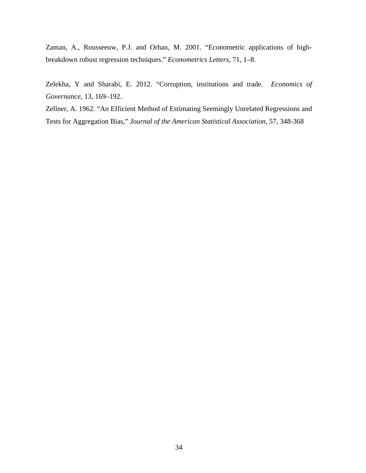Zaman, A., Rousseeuw, P.J. and Orhan, M. 2001. "Econometric applications of highbreakdown robust regression techniques." *Econometrics Letters*, 71, 1–8.

Zelekha, Y and Sharabi, E. 2012. "Corruption, institutions and trade. *Economics of Governance,* 13, 169–192.

Zellner, A. 1962. "An Efficient Method of Estimating Seemingly Unrelated Regressions and Tests for Aggregation Bias," *Journal of the American Statistical Association*, 57, 348-368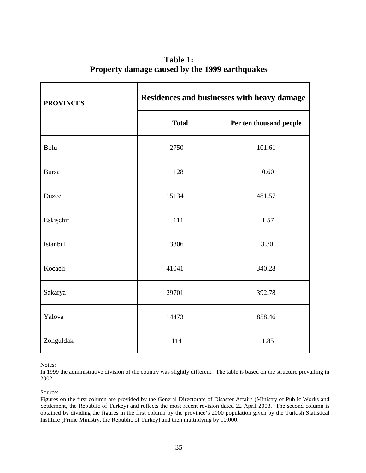| Table 1:                                       |
|------------------------------------------------|
| Property damage caused by the 1999 earthquakes |

| <b>PROVINCES</b> | Residences and businesses with heavy damage |                         |  |  |  |  |
|------------------|---------------------------------------------|-------------------------|--|--|--|--|
|                  | <b>Total</b>                                | Per ten thousand people |  |  |  |  |
| Bolu             | 2750                                        | 101.61                  |  |  |  |  |
| <b>Bursa</b>     | 128                                         | 0.60                    |  |  |  |  |
| Düzce            | 15134                                       | 481.57                  |  |  |  |  |
| Eskişehir        | 111                                         | 1.57                    |  |  |  |  |
| İstanbul         | 3306                                        | 3.30                    |  |  |  |  |
| Kocaeli          | 41041                                       | 340.28                  |  |  |  |  |
| Sakarya          | 29701                                       | 392.78                  |  |  |  |  |
| Yalova           | 14473                                       | 858.46                  |  |  |  |  |
| Zonguldak        | 114                                         | 1.85                    |  |  |  |  |

Notes:

In 1999 the administrative division of the country was slightly different. The table is based on the structure prevailing in 2002.

#### Source:

Figures on the first column are provided by the General Directorate of Disaster Affairs (Ministry of Public Works and Settlement, the Republic of Turkey) and reflects the most recent revision dated 22 April 2003. The second column is obtained by dividing the figures in the first column by the province's 2000 population given by the Turkish Statistical Institute (Prime Ministry, the Republic of Turkey) and then multiplying by 10,000.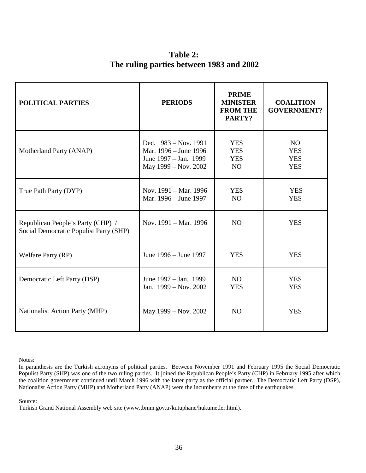**Table 2: The ruling parties between 1983 and 2002** 

| <b>POLITICAL PARTIES</b>                                                    | <b>PERIODS</b>                                                                                  | <b>PRIME</b><br><b>MINISTER</b><br><b>FROM THE</b><br>PARTY? | <b>COALITION</b><br><b>GOVERNMENT?</b>       |
|-----------------------------------------------------------------------------|-------------------------------------------------------------------------------------------------|--------------------------------------------------------------|----------------------------------------------|
| Motherland Party (ANAP)                                                     | Dec. 1983 – Nov. 1991<br>Mar. 1996 - June 1996<br>June 1997 – Jan. 1999<br>May 1999 - Nov. 2002 | <b>YES</b><br><b>YES</b><br><b>YES</b><br>NO                 | NO<br><b>YES</b><br><b>YES</b><br><b>YES</b> |
| True Path Party (DYP)                                                       | Nov. 1991 - Mar. 1996<br>Mar. 1996 – June 1997                                                  | <b>YES</b><br>N <sub>O</sub>                                 | <b>YES</b><br><b>YES</b>                     |
| Republican People's Party (CHP) /<br>Social Democratic Populist Party (SHP) | Nov. 1991 – Mar. 1996                                                                           | N <sub>O</sub>                                               | <b>YES</b>                                   |
| Welfare Party (RP)                                                          | June 1996 – June 1997                                                                           | <b>YES</b>                                                   | <b>YES</b>                                   |
| Democratic Left Party (DSP)                                                 | June 1997 – Jan. 1999<br>Jan. 1999 - Nov. 2002                                                  | NO.<br><b>YES</b>                                            | <b>YES</b><br><b>YES</b>                     |
| <b>Nationalist Action Party (MHP)</b>                                       | May 1999 – Nov. 2002                                                                            | N <sub>O</sub>                                               | <b>YES</b>                                   |

Notes:

Source:

Turkish Grand National Assembly web site (www.tbmm.gov.tr/kutuphane/hukumetler.html).

In paranthesis are the Turkish acronyms of political parties. Between November 1991 and February 1995 the Social Democratic Populist Party (SHP) was one of the two ruling parties. It joined the Republican People's Party (CHP) in February 1995 after which the coalition government continued until March 1996 with the latter party as the official partner. The Democratic Left Party (DSP), Nationalist Action Party (MHP) and Motherland Party (ANAP) were the incumbents at the time of the earthquakes.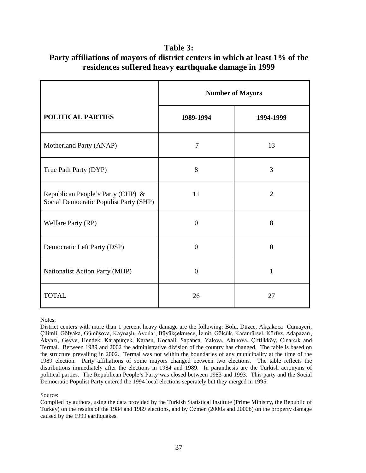# **Table 3:**

|                                                                             | <b>Number of Mayors</b> |                |  |  |  |
|-----------------------------------------------------------------------------|-------------------------|----------------|--|--|--|
| <b>POLITICAL PARTIES</b>                                                    | 1989-1994               | 1994-1999      |  |  |  |
| Motherland Party (ANAP)                                                     | $\overline{7}$          | 13             |  |  |  |
| True Path Party (DYP)                                                       | 8                       | 3              |  |  |  |
| Republican People's Party (CHP) &<br>Social Democratic Populist Party (SHP) | 11                      | $\overline{2}$ |  |  |  |
| Welfare Party (RP)                                                          | $\overline{0}$          | 8              |  |  |  |
| Democratic Left Party (DSP)                                                 | $\overline{0}$          | $\overline{0}$ |  |  |  |
| Nationalist Action Party (MHP)                                              | $\overline{0}$          | 1              |  |  |  |
| <b>TOTAL</b>                                                                | 26                      | 27             |  |  |  |

**Party affiliations of mayors of district centers in which at least 1% of the residences suffered heavy earthquake damage in 1999** 

Notes:

District centers with more than 1 percent heavy damage are the following: Bolu, Düzce, Akçakoca Cumayeri, Çilimli, Gölyaka, Gümüşova, Kaynaşlı, Avcılar, Büyükçekmece, İzmit, Gölcük, Karamürsel, Körfez, Adapazarı, Akyazı, Geyve, Hendek, Karapürçek, Karasu, Kocaali, Sapanca, Yalova, Altınova, Çiftlikköy, Çınarcık and Termal. Between 1989 and 2002 the administrative division of the country has changed. The table is based on the structure prevailing in 2002. Termal was not within the boundaries of any municipality at the time of the 1989 election. Party affiliations of some mayors changed between two elections. The table reflects the distributions immediately after the elections in 1984 and 1989. In paranthesis are the Turkish acronyms of political parties. The Republican People's Party was closed between 1983 and 1993. This party and the Social Democratic Populist Party entered the 1994 local elections seperately but they merged in 1995.

Source:

Compiled by authors, using the data provided by the Turkish Statistical Institute (Prime Ministry, the Republic of Turkey) on the results of the 1984 and 1989 elections, and by Özmen (2000a and 2000b) on the property damage caused by the 1999 earthquakes.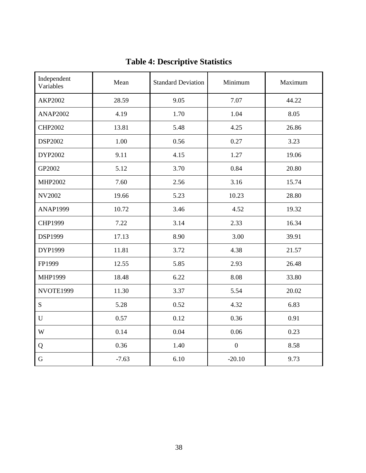| Independent<br>Variables | Mean    | <b>Standard Deviation</b> | Minimum          | Maximum |
|--------------------------|---------|---------------------------|------------------|---------|
| <b>AKP2002</b>           | 28.59   | 9.05                      | 7.07             | 44.22   |
| <b>ANAP2002</b>          | 4.19    | 1.70                      | 1.04             | 8.05    |
| <b>CHP2002</b>           | 13.81   | 5.48                      | 4.25             | 26.86   |
| <b>DSP2002</b>           | 1.00    | 0.56                      | 0.27             | 3.23    |
| DYP2002                  | 9.11    | 4.15                      | 1.27             | 19.06   |
| GP2002                   | 5.12    | 3.70                      | 0.84             | 20.80   |
| MHP2002                  | 7.60    | 2.56                      | 3.16             | 15.74   |
| <b>NV2002</b>            | 19.66   | 5.23                      | 10.23            | 28.80   |
| <b>ANAP1999</b>          | 10.72   | 3.46                      | 4.52             | 19.32   |
| CHP1999                  | 7.22    | 3.14                      | 2.33             | 16.34   |
| <b>DSP1999</b>           | 17.13   | 8.90                      | 3.00             | 39.91   |
| DYP1999                  | 11.81   | 3.72                      | 4.38             | 21.57   |
| FP1999                   | 12.55   | 5.85                      | 2.93             | 26.48   |
| MHP1999                  | 18.48   | 6.22                      | 8.08             | 33.80   |
| NVOTE1999                | 11.30   | 3.37                      | 5.54             | 20.02   |
| S                        | 5.28    | 0.52                      | 4.32             | 6.83    |
| $\mathbf U$              | 0.57    | 0.12                      | 0.36             | 0.91    |
| W                        | 0.14    | 0.04                      | 0.06             | 0.23    |
| Q                        | 0.36    | 1.40                      | $\boldsymbol{0}$ | 8.58    |
| $\mathbf G$              | $-7.63$ | 6.10                      | $-20.10$         | 9.73    |

# **Table 4: Descriptive Statistics**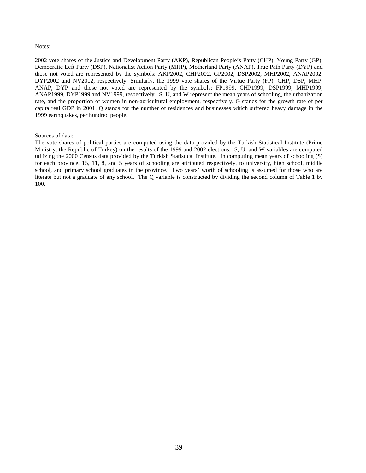#### Notes:

2002 vote shares of the Justice and Development Party (AKP), Republican People's Party (CHP), Young Party (GP), Democratic Left Party (DSP), Nationalist Action Party (MHP), Motherland Party (ANAP), True Path Party (DYP) and those not voted are represented by the symbols: AKP2002, CHP2002, GP2002, DSP2002, MHP2002, ANAP2002, DYP2002 and NV2002, respectively. Similarly, the 1999 vote shares of the Virtue Party (FP), CHP, DSP, MHP, ANAP, DYP and those not voted are represented by the symbols: FP1999, CHP1999, DSP1999, MHP1999, ANAP1999, DYP1999 and NV1999, respectively. S, U, and W represent the mean years of schooling, the urbanization rate, and the proportion of women in non-agricultural employment, respectively. G stands for the growth rate of per capita real GDP in 2001. Q stands for the number of residences and businesses which suffered heavy damage in the 1999 earthquakes, per hundred people.

#### Sources of data:

The vote shares of political parties are computed using the data provided by the Turkish Statistical Institute (Prime Ministry, the Republic of Turkey) on the results of the 1999 and 2002 elections. S, U, and W variables are computed utilizing the 2000 Census data provided by the Turkish Statistical Institute. In computing mean years of schooling (S) for each province, 15, 11, 8, and 5 years of schooling are attributed respectively, to university, high school, middle school, and primary school graduates in the province. Two years' worth of schooling is assumed for those who are literate but not a graduate of any school. The Q variable is constructed by dividing the second column of Table 1 by 100.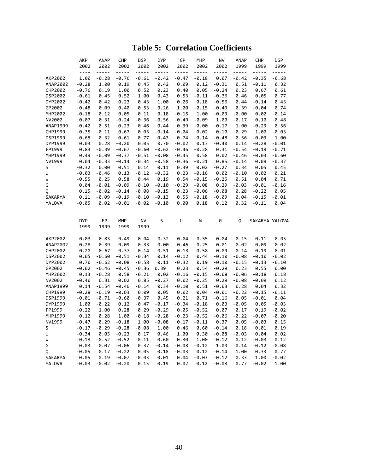### **Table 5: Correlation Coefficients**

|                   | AKP                      | <b>ANAP</b>     | <b>CHP</b>         | DSP             | <b>DYP</b>   | GP            | MHP             | NV                 | <b>ANAP</b>  | <b>CHP</b>      | <b>DSP</b>      |
|-------------------|--------------------------|-----------------|--------------------|-----------------|--------------|---------------|-----------------|--------------------|--------------|-----------------|-----------------|
|                   | 2002                     | 2002            | 2002               | 2002            | 2002         | 2002          | 2002            | 2002               | 1999         | 1999            | 1999            |
|                   | $- - - -$                | -----           | -----              | $- - - - -$     | -----        | -----         | -----           | -----              | -----        | $- - - - -$     | -----           |
| AKP2002           | 1.00                     | $-0.28$         | $-0.76$            | $-0.61$         | $-0.42$      | $-0.47$       | $-0.18$         | 0.07               | $-0.42$      | $-0.35$         | $-0.68$         |
| ANAP2002          | $-0.28$                  | 1.00            | 0.19               | 0.45            | 0.42         | 0.09          | 0.12            | $-0.31$            | 0.51         | $-0.11$         | 0.32            |
| CHP2002           | $-0.76$                  | 0.19            | 1.00               | 0.52            | 0.23         | 0.40          | 0.05            | $-0.24$            | 0.23         | 0.67            | 0.61            |
| DSP2002           | $-0.61$                  | 0.45            | 0.52               | 1.00            | 0.43         | 0.53          | $-0.11$         | $-0.36$            | 0.46         | 0.05            | 0.77            |
| DYP2002           | $-0.42$                  | 0.42            | 0.23               | 0.43            | 1.00         | 0.26          | 0.18            | $-0.56$            | 0.44         | $-0.14$         | 0.43            |
| GP2002            | $-0.48$                  | 0.09            | 0.40               | 0.53            | 0.26         | 1.00          | $-0.15$         | $-0.49$            | 0.39         | $-0.04$         | 0.74            |
| MHP2002           | $-0.18$                  | 0.12            | 0.05               | $-0.11$         | 0.18         | $-0.15$       | 1.00            | $-0.09$            | $-0.00$      | 0.02            | $-0.14$         |
| NV2002            | 0.07                     | $-0.31$         | $-0.24$            | $-0.36$         | $-0.56$      | $-0.49$       | $-0.09$         | 1.00               | $-0.17$      | 0.10            | $-0.48$         |
| ANAP1999          | $-0.42$                  | 0.51            | 0.23               | 0.46            | 0.44         | 0.39          | $-0.00$         | $-0.17$            | 1.00         | $-0.29$         | 0.56            |
| CHP1999           | $-0.35$                  | $-0.11$         | 0.67               | 0.05            | $-0.14$      | $-0.04$       | 0.02            | 0.10               | $-0.29$      | 1.00            | $-0.03$         |
| DSP1999           | $-0.68$                  | 0.32            | 0.61               | 0.77            | 0.43         | 0.74          | $-0.14$         | $-0.48$            | 0.56         | $-0.03$         | 1.00            |
| DYP1999           | 0.03                     | 0.28            | $-0.20$            | 0.05            | 0.70         | $-0.02$       | 0.13            | $-0.40$            | 0.14         | $-0.28$         | $-0.01$         |
| FP1999            | 0.83                     | $-0.39$         | $-0.67$            | $-0.60$         | $-0.62$      | $-0.46$       | $-0.28$         | 0.31               | $-0.54$      | $-0.19$         | $-0.71$         |
| MHP1999           | 0.49                     | $-0.09$         | $-0.37$            | $-0.51$         | $-0.08$      | $-0.45$       | 0.58            | 0.02               | $-0.46$      | $-0.03$         | $-0.60$         |
| NV1999            | 0.04                     | $-0.33$         | $-0.14$            | $-0.34$         | $-0.58$      | $-0.36$       | $-0.21$         | 0.85               | $-0.14$      | 0.09            | $-0.37$         |
| S                 | $-0.32$                  | 0.00            | 0.51               | 0.14            | 0.11         | 0.39          | 0.02            | $-0.27$            | 0.34         | 0.05            | 0.45            |
| U                 | $-0.03$                  | $-0.46$         | 0.13               | $-0.12$         | $-0.32$      | 0.23          | $-0.16$         | 0.02               | $-0.10$      | 0.02            | 0.21            |
| W                 | $-0.55$                  | 0.25            | 0.58               | 0.44            | 0.19         | 0.54          | $-0.15$         | $-0.25$            | 0.51         | 0.04            | 0.71            |
| G                 | 0.04                     | $-0.01$         | $-0.09$            | $-0.10$         | $-0.10$      | $-0.29$       | $-0.08$         | 0.29               | $-0.03$      | $-0.01$         | $-0.16$         |
| Q                 | 0.15                     | $-0.02$         | $-0.14$            | $-0.08$         | $-0.15$      | 0.23          | $-0.06$         | $-0.08$            | 0.28         | $-0.22$         | 0.05            |
| SAKARYA           | 0.11                     | $-0.09$         | $-0.19$            | $-0.10$         | $-0.13$      | 0.55          | $-0.18$         | $-0.09$            | 0.04         | $-0.15$         | $-0.01$         |
| YALOVA            | $-0.05$                  | 0.02            | $-0.01$            | $-0.02$         | $-0.10$      | 0.00          | 0.18            | 0.12               | 0.32         | $-0.11$         | 0.04            |
|                   |                          |                 |                    |                 |              |               |                 |                    |              |                 |                 |
|                   |                          |                 |                    |                 |              |               |                 |                    |              |                 |                 |
|                   |                          |                 |                    |                 |              |               |                 |                    |              |                 |                 |
|                   | <b>DYP</b>               | FP              | MHP                | NV              | S            | U             | W               | G                  | Q            | SAKARYA YALOVA  |                 |
|                   | 1999                     | 1999            | 1999               | 1999            |              |               |                 |                    |              |                 |                 |
|                   | $\overline{\phantom{a}}$ | -----           | -----              | -----           | -----        | $\frac{1}{2}$ | -----           | $\sim$ $\sim$      |              | - - -           |                 |
| AKP2002           | 0.03                     | 0.83            | 0.49               | 0.04            | $-0.32$      | $-0.04$       | $-0.55$         | 0.04               | 0.15         | 0.11            | $-0.05$         |
| ANAP2002          | 0.28                     | $-0.39$         | $-0.09$            | $-0.33$         | 0.00         | $-0.46$       | 0.25            | $-0.01$            | $-0.02$      | $-0.09$         | 0.02            |
| CHP2002           | $-0.20$                  | $-0.67$         | $-0.37$            | $-0.14$         | 0.51         | 0.13          | 0.58            | $-0.09$            | $-0.14$      | $-0.19$         | $-0.01$         |
| DSP2002           | 0.05                     | $-0.60$         | $-0.51$            | $-0.34$         | 0.14         | $-0.12$       | 0.44            | $-0.10$            | $-0.08$      | $-0.10$         | $-0.02$         |
| DYP2002           | 0.70                     | $-0.62$         | $-0.08$            | $-0.58$         | 0.11         | $-0.32$       | 0.19            | $-0.10$            | $-0.15$      | $-0.13$         | $-0.10$         |
| GP2002            | $-0.02$                  | $-0.46$         | $-0.45$            | $-0.36$         | 0.39         | 0.23          | 0.54            | $-0.29$            | 0.23         | 0.55            | 0.00            |
| MHP2002           | 0.13                     | $-0.28$         | 0.58               | $-0.21$         | 0.02         | $-0.16$       | $-0.15$         | $-0.08$            | $-0.06$      | $-0.18$         | 0.18            |
| NV2002            | $-0.40$                  | 0.31            | 0.02               | 0.85            | $-0.27$      | 0.02          | $-0.25$         | 0.29               | $-0.08$      | $-0.09$         | 0.12            |
| ANAP1999          | 0.14                     | $-0.54$         | $-0.46$            | $-0.14$         | 0.34         | $-0.10$       | 0.51            | $-0.03$            | 0.28         | 0.04            | 0.32            |
| CHP1999           | $-0.28$                  | $-0.19$         | $-0.03$            | 0.09            | 0.05         | 0.02          | 0.04            | $-0.01$            | $-0.22$      | $-0.15$         | $-0.11$         |
| DSP1999           | $-0.01$                  | $-0.71$         | $-0.60$            | $-0.37$         | 0.45         | 0.21          | 0.71            | $-0.16$            | 0.05         | $-0.01$         | 0.04            |
| DYP1999           | 1.00                     | $-0.22$         | 0.12               | $-0.47$         | $-0.17$      | $-0.34$       | $-0.18$         | 0.03               | $-0.05$      | 0.05            | $-0.03$         |
| FP1999            | $-0.22$                  | 1.00            | 0.28               | 0.29            | $-0.29$      | 0.05          | $-0.52$         | 0.07               | 0.17         | 0.19            | $-0.02$         |
| MHP1999           | 0.12                     | 0.28            | 1.00               | $-0.18$         | $-0.28$      | $-0.23$       | $-0.52$         | $-0.06$            | $-0.22$      | $-0.07$         | $-0.20$         |
| NV1999            | $-0.47$                  | 0.29            | $-0.18$            | 1.00            | $-0.08$      | 0.17          | $-0.11$         | 0.37               | 0.05         | -0.03           | 0.15            |
| S                 | $-0.17$                  | $-0.29$         | $-0.28$            | $-0.08$         | 1.00         | 0.46          | 0.60            | $-0.14$            | 0.18         | 0.01            | 0.19            |
| U                 | $-0.34$                  | 0.05            | $-0.23$            | 0.17            | 0.46         | 1.00          | 0.30            | $-0.08$            | $-0.03$      | 0.04            | 0.02            |
| W                 | $-0.18$                  | $-0.52$         | $-0.52$            | $-0.11$         | 0.60         | 0.30          | 1.00            | $-0.12$            | 0.12         | $-0.03$         | 0.12            |
| G                 | 0.03                     | 0.07            | $-0.06$            | 0.37            | $-0.14$      | $-0.08$       | $-0.12$         | 1.00               | $-0.14$      | $-0.12$         | $-0.08$         |
| Q                 | $-0.05$                  | 0.17            | $-0.22$            | 0.05            | 0.18         | $-0.03$       | 0.12            | $-0.14$            | 1.00         | 0.33            | 0.77            |
| SAKARYA<br>YALOVA | 0.05<br>$-0.03$          | 0.19<br>$-0.02$ | $-0.07$<br>$-0.20$ | $-0.03$<br>0.15 | 0.01<br>0.19 | 0.04<br>0.02  | $-0.03$<br>0.12 | $-0.12$<br>$-0.08$ | 0.33<br>0.77 | 1.00<br>$-0.02$ | $-0.02$<br>1.00 |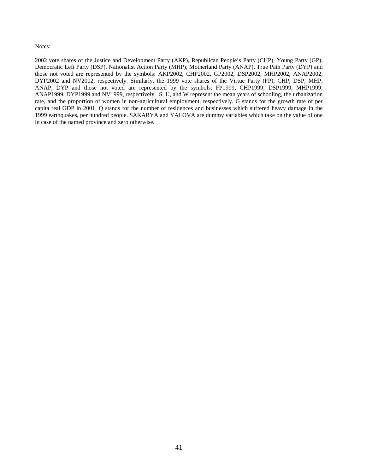#### Notes:

2002 vote shares of the Justice and Development Party (AKP), Republican People's Party (CHP), Young Party (GP), Democratic Left Party (DSP), Nationalist Action Party (MHP), Motherland Party (ANAP), True Path Party (DYP) and those not voted are represented by the symbols: AKP2002, CHP2002, GP2002, DSP2002, MHP2002, ANAP2002, DYP2002 and NV2002, respectively. Similarly, the 1999 vote shares of the Virtue Party (FP), CHP, DSP, MHP, ANAP, DYP and those not voted are represented by the symbols: FP1999, CHP1999, DSP1999, MHP1999, ANAP1999, DYP1999 and NV1999, respectively. S, U, and W represent the mean years of schooling, the urbanization rate, and the proportion of women in non-agricultural employment, respectively. G stands for the growth rate of per capita real GDP in 2001. Q stands for the number of residences and businesses which suffered heavy damage in the 1999 earthquakes, per hundred people. SAKARYA and YALOVA are dummy variables which take on the value of one in case of the named province and zero otherwise.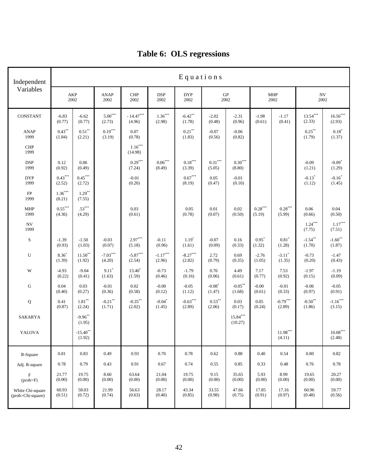| Independent                           |                     | Equations                   |                               |                                    |                                           |                                 |                                 |                                 |                     |                                  |                                  |                                 |
|---------------------------------------|---------------------|-----------------------------|-------------------------------|------------------------------------|-------------------------------------------|---------------------------------|---------------------------------|---------------------------------|---------------------|----------------------------------|----------------------------------|---------------------------------|
| Variables                             | 2002                | AKP                         | <b>ANAP</b><br>2002           | CHP<br>2002                        | $\ensuremath{\mathsf{DSP}}$<br>2002       | <b>DYP</b><br>2002              | ${\bf GP}$                      | 2002                            |                     | <b>MHP</b><br>2002               | $\ensuremath{\text{NV}}$<br>2002 |                                 |
| CONSTANT                              | $-6.83$<br>(0.77)   | $-6.62$<br>(0.77)           | $5.00***$<br>(2.73)           | - $14.47^{\ast\ast\ast}$<br>(4.96) | $1.36***$<br>(2.98)                       | $-6.42$ <sup>**</sup><br>(1.78) | $-2.02$<br>(0.48)               | $-2.31$<br>(0.96)               | $-1.98$<br>(0.61)   | $-1.17$<br>(0.41)                | $13.54***$<br>(2.33)             | $16.56***$<br>(2.93)            |
| <b>ANAP</b><br>1999                   | $0.43***$<br>(1.84) | $0.51***$<br>(2.21)         | $0.19***$<br>(3.19)           | 0.07<br>(0.78)                     |                                           | $0.21***$<br>(1.83)             | $-0.07$<br>(0.56)               | $-0.06$<br>(0.82)               |                     |                                  | $0.25***$<br>(1.79)              | $0.18^{*}$<br>(1.37)            |
| CHP<br>1999                           |                     |                             |                               | $1.16***$<br>(14.98)               |                                           |                                 |                                 |                                 |                     |                                  |                                  |                                 |
| $\ensuremath{\mathsf{DSP}}$<br>1999   | 0.12<br>(0.92)      | $0.06\,$<br>(0.49)          |                               | $0.29***$<br>(7.24)                | $0.06^{***}$<br>(8.49)                    | $0.18^{\ast\ast\ast}$<br>(3.39) | $0.31^{\ast\ast\ast}$<br>(5.05) | $0.30^{\ast\ast\ast}$<br>(8.80) |                     |                                  | $-0.09$<br>(1.21)                | $-0.09*$<br>(1.29)              |
| <b>DYP</b><br>1999                    | $0.43***$<br>(2.52) | $0.45***$<br>(2.72)         |                               | $-0.01$<br>(0.20)                  |                                           | $0.67^{\ast\ast\ast}$<br>(8.19) | 0.05<br>(0.47)                  | $-0.01$<br>(0.10)               |                     |                                  | $-0.13$ <sup>*</sup><br>(1.12)   | $-0.16$ <sup>*</sup><br>(1.45)  |
| FP<br>1999                            | $1.36***$<br>(8.21) | $1.29***$<br>(7.55)         |                               |                                    |                                           |                                 |                                 |                                 |                     |                                  |                                  |                                 |
| <b>MHP</b><br>1999                    | $0.55***$<br>(4.36) | $.53***$<br>(4.29)          |                               | 0.03<br>(0.61)                     |                                           | 0.05<br>(0.78)                  | $0.01\,$<br>(0.07)              | 0.02<br>(0.50)                  | $0.28***$<br>(5.19) | $0.28^{\ast\ast\ast}$<br>(5.99)  | 0.06<br>(0.66)                   | $0.04\,$<br>(0.50)              |
| ${\rm NV}$<br>1999                    |                     |                             |                               |                                    |                                           |                                 |                                 |                                 |                     |                                  | $1.24***$<br>(7.75)              | $1.17***$<br>(7.51)             |
| $\mathbf S$                           | $-1.39$<br>(0.93)   | $-1.50$<br>(1.03)           | $-0.03$<br>(0.07)             | $2.97***$<br>(5.18)                | $-0.11$<br>(0.96)                         | $1.19*$<br>(1.61)               | $-0.07$<br>(0.09)               | 0.16<br>(0.33)                  | $0.95*$<br>(1.32)   | $0.81*$<br>(1.28)                | $-1.54***$<br>(1.70)             | $-1.60$ <sup>**</sup><br>(1.87) |
| ${\bf U}$                             | $8.36*$<br>(1.39)   | $11.50***$<br>(1.92)        | $-7.03***$<br>(4.20)          | $-5.87***$<br>(2.54)               | $\textbf{-1.17}^{\ast\ast\ast}$<br>(2.96) | $-8.27***$<br>(2.82)            | 2.72<br>(0.79)                  | 0.69<br>(0.35)                  | $-2.76$<br>(1.05)   | $-3.11$ <sup>*</sup><br>(1.35)   | $-0.73$<br>(0.20)                | $-1.47$<br>(0.43)               |
| $\mathbf W$                           | $-4.93$<br>(0.22)   | $-9.04$<br>(0.41)           | $9.11$ <sup>*</sup><br>(1.63) | $13.40*$<br>(1.59)                 | $-0.73$<br>(0.46)                         | $-1.79$<br>(0.16)               | 0.76<br>(0.06)                  | 4.49<br>(0.61)                  | 7.17<br>(0.77)      | 7.53<br>(0.92)                   | $-1.97$<br>(0.15)                | $-1.19$<br>(0.09)               |
| ${\bf G}$                             | 0.04<br>(0.40)      | 0.03<br>(0.27)              | $-0.01$<br>(0.36)             | 0.02<br>(0.58)                     | $-0.00$<br>(0.12)                         | $-0.05$<br>(1.12)               | $-0.08$ <sup>*</sup><br>(1.47)  | $-0.05***$<br>(1.68)            | $-0.00$<br>(0.61)   | $-0.01$<br>(0.33)                | $-0.06$<br>(0.97)                | $-0.05$<br>(0.91)               |
| $\bf Q$                               | 0.41<br>(0.87)      | $1.81^{\ast\ast}$<br>(2.24) | $-0.21$ **<br>(1.71)          | $-0.35***$<br>(2.02)               | $-0.04$ <sup>*</sup><br>(1.45)            | $-0.63***$<br>(2.89)            | $0.53***$<br>(2.06)             | 0.03<br>(0.17)                  | 0.05<br>(0.24)      | $-0.79***$<br>(2.89)             | $-0.50**$<br>(1.86)              | $-1.16***$<br>(3.15)            |
| <b>SAKARYA</b>                        |                     | $-9.96***$<br>(1.95)        |                               |                                    |                                           |                                 |                                 | $15.84***$<br>(10.27)           |                     |                                  |                                  |                                 |
| YALOVA                                |                     | $-15.40$ **<br>(1.92)       |                               |                                    |                                           |                                 |                                 |                                 |                     | $11.98^{\ast\ast\ast}$<br>(4.11) |                                  | $10.08***$<br>(2.48)            |
| R-Square                              | 0.81                | 0.83                        | 0.49                          | 0.93                               | 0.70                                      | 0.78                            | 0.62                            | 0.88                            | 0.40                | 0.54                             | 0.80                             | 0.82                            |
| Adj. R-square                         | 0.78                | 0.79                        | 0.43                          | 0.91                               | 0.67                                      | 0.74                            | 0.55                            | 0.85                            | 0.33                | 0.48                             | 0.76                             | 0.78                            |
| F<br>$(prob$ >F)                      | 21.77<br>(0.00)     | 19.75<br>(0.00)             | 8.60<br>(0.00)                | 63.64<br>(0.00)                    | 21.04<br>(0.00)                           | 19.75<br>(0.00)                 | 9.15<br>(0.00)                  | 35.65<br>(0.00)                 | 5.93<br>(0.00)      | 8.99<br>(0.00)                   | 19.65<br>(0.00)                  | 20.27<br>(0.00)                 |
| White Chi-square<br>(prob>Chi-square) | 60.93<br>(0.51)     | 58.03<br>(0.72)             | 21.99<br>(0.74)               | 56.63<br>(0.63)                    | 28.17<br>(0.40)                           | 43.34<br>(0.85)                 | 33.55<br>(0.98)                 | 47.66<br>(0.75)                 | 17.85<br>(0.91)     | 17.16<br>(0.97)                  | 60.96<br>(0.48)                  | 59.77<br>(0.56)                 |

# **Table 6: OLS regressions**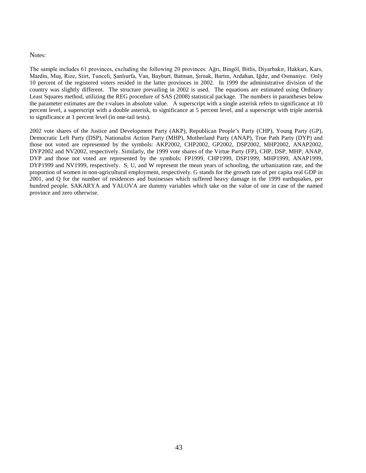#### Notes:

The sample includes 61 provinces, excluding the following 20 provinces: Ağrı, Bingöl, Bitlis, Diyarbakır, Hakkari, Kars, Mardin, Muş, Rize, Siirt, Tunceli, Şanlıurfa, Van, Bayburt, Batman, Şırnak, Bartın, Ardahan, Iğdır, and Osmaniye. Only 10 percent of the registered voters resided in the latter provinces in 2002. In 1999 the administrative division of the country was slightly different. The structure prevailing in 2002 is used. The equations are estimated using Ordinary Least Squares method, utilizing the REG procedure of SAS (2008) statistical package. The numbers in parantheses below the parameter estimates are the t-values in absolute value. A superscript with a single asterisk refers to significance at 10 percent level, a superscript with a double asterisk, to significance at 5 percent level, and a superscript with triple asterisk to significance at 1 percent level (in one-tail tests).

2002 vote shares of the Justice and Development Party (AKP), Republican People's Party (CHP), Young Party (GP), Democratic Left Party (DSP), Nationalist Action Party (MHP), Motherland Party (ANAP), True Path Party (DYP) and those not voted are represented by the symbols: AKP2002, CHP2002, GP2002, DSP2002, MHP2002, ANAP2002, DYP2002 and NV2002, respectively. Similarly, the 1999 vote shares of the Virtue Party (FP), CHP, DSP, MHP, ANAP, DYP and those not voted are represented by the symbols: FP1999, CHP1999, DSP1999, MHP1999, ANAP1999, DYP1999 and NV1999, respectively. S, U, and W represent the mean years of schooling, the urbanization rate, and the proportion of women in non-agricultural employment, respectively. G stands for the growth rate of per capita real GDP in 2001, and Q for the number of residences and businesses which suffered heavy damage in the 1999 earthquakes, per hundred people. SAKARYA and YALOVA are dummy variables which take on the value of one in case of the named province and zero otherwise.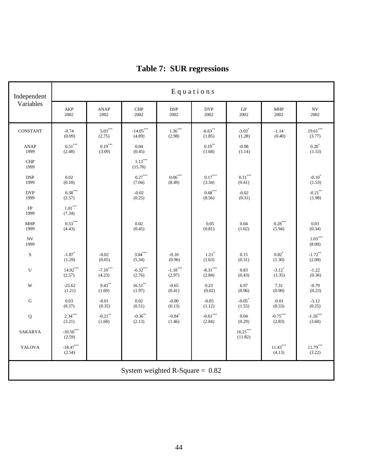| Independent         | Equations                      |                      |                                            |                                |                      |                                 |                                |                                 |  |  |  |
|---------------------|--------------------------------|----------------------|--------------------------------------------|--------------------------------|----------------------|---------------------------------|--------------------------------|---------------------------------|--|--|--|
| Variables           | AKP<br>2002                    | <b>ANAP</b><br>2002  | <b>CHP</b><br>2002                         | <b>DSP</b><br>2002             | <b>DYP</b><br>2002   | GP<br>2002                      | <b>MHP</b><br>2002             | <b>NV</b><br>2002               |  |  |  |
| CONSTANT            | $-0.74$<br>(0.09)              | $5.03***$<br>(2.75)  | $\textbf{-14.05}^{\ast\ast\ast}$<br>(4.89) | $1.36***$<br>(2.98)            | $-6.63**$<br>(1.85)  | $-3.03$ <sup>*</sup><br>(1.28)  | $-1.14$<br>(0.40)              | $19.61***$<br>(3.77)            |  |  |  |
| <b>ANAP</b><br>1999 | $0.51***$<br>(2.48)            | $0.19***$<br>(3.09)  | 0.04<br>(0.45)                             |                                | $0.19***$<br>(1.68)  | $-0.08$<br>(1.14)               |                                | $0.20^*$<br>(1.53)              |  |  |  |
| <b>CHP</b><br>1999  |                                |                      | $1.13***$<br>(15.70)                       |                                |                      |                                 |                                |                                 |  |  |  |
| <b>DSP</b><br>1999  | 0.02<br>(0.18)                 |                      | $0.27***$<br>(7.04)                        | $0.06***$<br>(8.49)            | $0.17***$<br>(3.34)  | $0.31^{\ast\ast\ast}$<br>(9.41) |                                | $-0.10^*$<br>(1.53)             |  |  |  |
| <b>DYP</b><br>1999  | $0.38***$<br>(2.57)            |                      | $-0.02$<br>(0.25)                          |                                | $0.68***$<br>(8.56)  | $-0.02$<br>(0.31)               |                                | $-0.21$ <sup>**</sup><br>(1.98) |  |  |  |
| FP<br>1999          | $1.01***$<br>(7.34)            |                      |                                            |                                |                      |                                 |                                |                                 |  |  |  |
| <b>MHP</b><br>1999  | $0.53***$<br>(4.43)            |                      | 0.02<br>(0.45)                             |                                | 0.05<br>(0.81)       | 0.04<br>(1.02)                  | $0.28***$<br>(5.94)            | 0.03<br>(0.34)                  |  |  |  |
| <b>NV</b><br>1999   |                                |                      |                                            |                                |                      |                                 |                                | $1.03***$<br>(8.00)             |  |  |  |
| $\mathbf S$         | $-1.87$ <sup>*</sup><br>(1.29) | $-0.02$<br>(0.05)    | $3.04***$<br>(5.34)                        | $-0.10$<br>(0.96)              | $1.21*$<br>(1.63)    | 0.15<br>(0.31)                  | $0.82*$<br>(1.30)              | $-1.72$ **<br>(2.00)            |  |  |  |
| U                   | $14.92***$<br>(2.57)           | $-7.10***$<br>(4.23) | $-6.32***$<br>(2.76)                       | $-1.18***$<br>(2.97)           | $-8.31***$<br>(2.84) | 0.83<br>(0.43)                  | $-3.12$ <sup>*</sup><br>(1.35) | $-1.22$<br>(0.36)               |  |  |  |
| W                   | $-25.62$<br>(1.21)             | $9.43***$<br>(1.69)  | $16.51***$<br>(1.97)                       | $-0.65$<br>(0.41)              | 0.23<br>(0.02)       | 6.97<br>(0.96)                  | 7.31<br>(0.90)                 | $-0.79$<br>(0.23)               |  |  |  |
| ${\bf G}$           | 0.03<br>(0.37)                 | $-0.01$<br>(0.35)    | 0.02<br>(0.51)                             | $-0.00$<br>(0.13)              | $-0.05$<br>(1.12)    | $-0.05$<br>(1.55)               | $-0.01$<br>(0.33)              | $-3.12$<br>(0.25)               |  |  |  |
| ${\bf Q}$           | $2.34***$<br>(3.21)            | $-0.21$ **<br>(1.68) | $-0.36**$<br>(2.13)                        | $-0.04$ <sup>*</sup><br>(1.46) | $-0.61***$<br>(2.84) | 0.04<br>(0.29)                  | $-0.75***$<br>(2.83)           | $-1.26***$<br>(3.60)            |  |  |  |
| SAKARYA             | $-10.50***$<br>(2.59)          |                      |                                            |                                |                      | $16.25***$<br>(11.82)           |                                |                                 |  |  |  |
| YALOVA              | $-18.47***$<br>(2.54)          |                      |                                            |                                |                      |                                 | $11.43***$<br>(4.13)           | $11.79***$<br>(3.22)            |  |  |  |
|                     |                                |                      | System weighted R-Square = $0.82$          |                                |                      |                                 |                                |                                 |  |  |  |

# **Table 7: SUR regressions**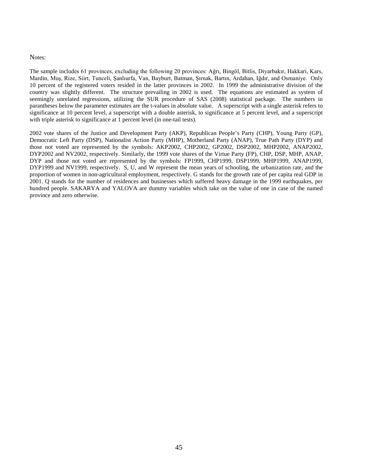#### Notes:

The sample includes 61 provinces, excluding the following 20 provinces: Ağrı, Bingöl, Bitlis, Diyarbakır, Hakkari, Kars, Mardin, Muş, Rize, Siirt, Tunceli, Şanlıurfa, Van, Bayburt, Batman, Şırnak, Bartın, Ardahan, Iğdır, and Osmaniye. Only 10 percent of the registered voters resided in the latter provinces in 2002. In 1999 the administrative division of the country was slightly different. The structure prevailing in 2002 is used. The equations are estimated as system of seemingly unrelated regressions, utilizing the SUR procedure of SAS (2008) statistical package. The numbers in parantheses below the parameter estimates are the t-values in absolute value. A superscript with a single asterisk refers to significance at 10 percent level, a superscript with a double asterisk, to significance at 5 percent level, and a superscript with triple asterisk to significance at 1 percent level (in one-tail tests).

2002 vote shares of the Justice and Development Party (AKP), Republican People's Party (CHP), Young Party (GP), Democratic Left Party (DSP), Nationalist Action Party (MHP), Motherland Party (ANAP), True Path Party (DYP) and those not voted are represented by the symbols: AKP2002, CHP2002, GP2002, DSP2002, MHP2002, ANAP2002, DYP2002 and NV2002, respectively. Similarly, the 1999 vote shares of the Virtue Party (FP), CHP, DSP, MHP, ANAP, DYP and those not voted are represented by the symbols: FP1999, CHP1999, DSP1999, MHP1999, ANAP1999, DYP1999 and NV1999, respectively. S, U, and W represent the mean years of schooling, the urbanization rate, and the proportion of women in non-agricultural employment, respectively. G stands for the growth rate of per capita real GDP in 2001. Q stands for the number of residences and businesses which suffered heavy damage in the 1999 earthquakes, per hundred people. SAKARYA and YALOVA are dummy variables which take on the value of one in case of the named province and zero otherwise.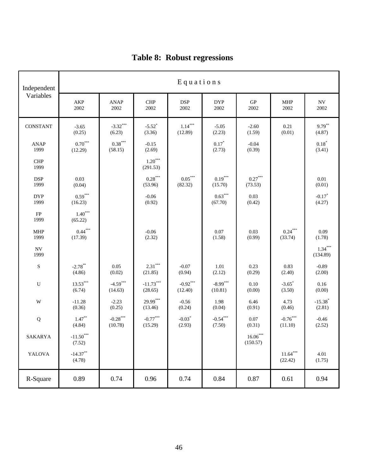| Independent                      | Equations                             |                                            |                                |                                  |                         |                                  |                                |                                 |  |  |
|----------------------------------|---------------------------------------|--------------------------------------------|--------------------------------|----------------------------------|-------------------------|----------------------------------|--------------------------------|---------------------------------|--|--|
| Variables                        | AKP<br>2002                           | <b>ANAP</b><br>2002                        | <b>CHP</b><br>2002             | <b>DSP</b><br>2002               | <b>DYP</b><br>2002      | ${\rm GP}$<br>2002               | <b>MHP</b><br>2002             | ${\rm NV}$<br>2002              |  |  |
| CONSTANT                         | $-3.65$<br>(0.25)                     | $-3.32***$<br>(6.23)                       | $-5.52$ <sup>*</sup><br>(3.36) | $1.14***$<br>(12.89)             | $-5.05$<br>(2.23)       | $-2.60$<br>(1.59)                | 0.21<br>(0.01)                 | $9.79***$<br>(4.87)             |  |  |
| <b>ANAP</b><br>1999              | $0.70***$<br>(12.29)                  | $0.38^{\ast\ast\ast}$<br>(58.15)           | $-0.15$<br>(2.69)              |                                  | $0.17*$<br>(2.73)       | $-0.04$<br>(0.39)                |                                | $0.18*$<br>(3.41)               |  |  |
| CHP<br>1999                      |                                       |                                            | $1.20***$<br>(291.53)          |                                  |                         |                                  |                                |                                 |  |  |
| <b>DSP</b><br>1999               | 0.03<br>(0.04)                        |                                            | $0.28***$<br>(53.96)           | $0.05^{\ast\ast\ast}$<br>(82.32) | $0.19^{***}$<br>(15.70) | $0.27^{\ast\ast\ast}$<br>(73.53) |                                | $0.01\,$<br>(0.01)              |  |  |
| <b>DYP</b><br>1999               | $0.59***$<br>(16.23)                  |                                            | $-0.06$<br>(0.92)              |                                  | $0.63***$<br>(67.70)    | 0.03<br>(0.42)                   |                                | $-0.17*$<br>(4.27)              |  |  |
| ${\rm FP}$<br>1999               | $1.40***$<br>(65.22)                  |                                            |                                |                                  |                         |                                  |                                |                                 |  |  |
| <b>MHP</b><br>1999               | $0.44***$<br>(17.39)                  |                                            | $-0.06$<br>(2.32)              |                                  | 0.07<br>(1.58)          | 0.03<br>(0.99)                   | $0.24***$<br>(33.74)           | 0.09<br>(1.78)                  |  |  |
| $\ensuremath{\text{NV}}$<br>1999 |                                       |                                            |                                |                                  |                         |                                  |                                | $1.34***$<br>(134.89)           |  |  |
| ${\bf S}$                        | $-2.78$ **<br>(4.86)                  | 0.05<br>(0.02)                             | $2.31***$<br>(21.85)           | $-0.07$<br>(0.94)                | 1.01<br>(2.12)          | 0.23<br>(0.29)                   | 0.83<br>(2.40)                 | $-0.89$<br>(2.00)               |  |  |
| ${\bf U}$                        | $13.53***$<br>(6.74)                  | $-4.59***$<br>(14.63)                      | $-11.73***$<br>(28.65)         | $-0.92***$<br>(12.40)            | $-8.99***$<br>(10.81)   | 0.10<br>(0.00)                   | $-3.65$ <sup>*</sup><br>(3.50) | 0.16<br>(0.00)                  |  |  |
| $\mathbf W$                      | $-11.28$<br>(0.36)                    | $-2.23$<br>(0.25)                          | 29.99***<br>(13.46)            | $-0.56$<br>(0.24)                | 1.98<br>(0.04)          | 6.46<br>(0.91)                   | 4.73<br>(0.46)                 | $-15.38$ <sup>*</sup><br>(2.81) |  |  |
| ${\bf Q}$                        | $1.47**$<br>(4.84)                    | $\textbf{-0.28}^{\ast\ast\ast}$<br>(10.78) | $-0.77***$<br>(15.29)          | $-0.03$ <sup>*</sup><br>(2.93)   | $-0.54***$<br>(7.50)    | 0.07<br>(0.31)                   | $-0.76***$<br>(11.10)          | $-0.46$<br>(2.52)               |  |  |
| SAKARYA                          | $\textnormal{-}11.50^{***}$<br>(7.52) |                                            |                                |                                  |                         | $16.06\sp{*}$<br>(150.57)        |                                |                                 |  |  |
| YALOVA                           | $-14.37**$<br>(4.78)                  |                                            |                                |                                  |                         |                                  | $11.64***$<br>(22.42)          | 4.01<br>(1.75)                  |  |  |
| R-Square                         | 0.89                                  | 0.74                                       | 0.96                           | 0.74                             | 0.84                    | 0.87                             | 0.61                           | 0.94                            |  |  |

# **Table 8: Robust regressions**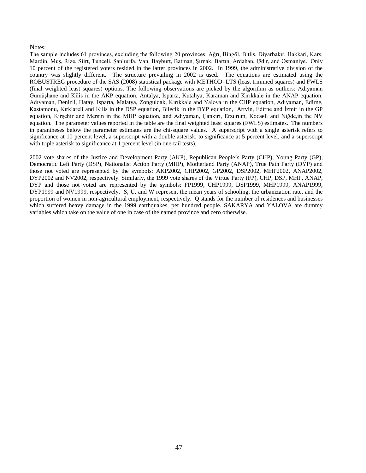#### Notes:

The sample includes 61 provinces, excluding the following 20 provinces: Ağrı, Bingöl, Bitlis, Diyarbakır, Hakkari, Kars, Mardin, Muş, Rize, Siirt, Tunceli, Şanlıurfa, Van, Bayburt, Batman, Şırnak, Bartın, Ardahan, Iğdır, and Osmaniye. Only 10 percent of the registered voters resided in the latter provinces in 2002. In 1999, the administrative division of the country was slightly different. The structure prevailing in 2002 is used. The equations are estimated using the ROBUSTREG procedure of the SAS (2008) statistical package with METHOD=LTS (least trimmed squares) and FWLS (final weighted least squares) options. The following observations are picked by the algorithm as outliers: Adıyaman Gümüşhane and Kilis in the AKP equation, Antalya, Isparta, Kütahya, Karaman and Kırıkkale in the ANAP equation, Adıyaman, Denizli, Hatay, Isparta, Malatya, Zonguldak, Kırıkkale and Yalova in the CHP equation, Adıyaman, Edirne, Kastamonu, Kırklareli and Kilis in the DSP equation, Bilecik in the DYP equation, Artvin, Edirne and İzmir in the GP equation, Kırşehir and Mersin in the MHP equation, and Adıyaman, Çankırı, Erzurum, Kocaeli and Niğde,in the NV equation. The parameter values reported in the table are the final weighted least squares (FWLS) estimates. The numbers in parantheses below the parameter estimates are the chi-square values. A superscript with a single asterisk refers to significance at 10 percent level, a superscript with a double asterisk, to significance at 5 percent level, and a superscript with triple asterisk to significance at 1 percent level (in one-tail tests).

2002 vote shares of the Justice and Development Party (AKP), Republican People's Party (CHP), Young Party (GP), Democratic Left Party (DSP), Nationalist Action Party (MHP), Motherland Party (ANAP), True Path Party (DYP) and those not voted are represented by the symbols: AKP2002, CHP2002, GP2002, DSP2002, MHP2002, ANAP2002, DYP2002 and NV2002, respectively. Similarly, the 1999 vote shares of the Virtue Party (FP), CHP, DSP, MHP, ANAP, DYP and those not voted are represented by the symbols: FP1999, CHP1999, DSP1999, MHP1999, ANAP1999, DYP1999 and NV1999, respectively. S, U, and W represent the mean years of schooling, the urbanization rate, and the proportion of women in non-agricultural employment, respectively. Q stands for the number of residences and businesses which suffered heavy damage in the 1999 earthquakes, per hundred people. SAKARYA and YALOVA are dummy variables which take on the value of one in case of the named province and zero otherwise.